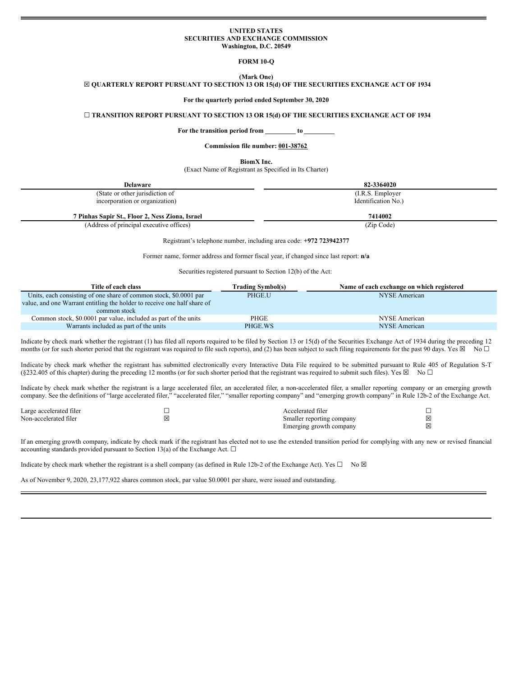#### **UNITED STATES SECURITIES AND EXCHANGE COMMISSION Washington, D.C. 20549**

**FORM 10-Q**

# **(Mark One)**

### ☒ **QUARTERLY REPORT PURSUANT TO SECTION 13 OR 15(d) OF THE SECURITIES EXCHANGE ACT OF 1934**

**For the quarterly period ended September 30, 2020**

### ☐ **TRANSITION REPORT PURSUANT TO SECTION 13 OR 15(d) OF THE SECURITIES EXCHANGE ACT OF 1934**

**For the transition period from to**

### **Commission file number: 001-38762**

**BiomX Inc.**

(Exact Name of Registrant as Specified in Its Charter)

| <b>Delaware</b>                                 | 82-3364020          |
|-------------------------------------------------|---------------------|
| (State or other jurisdiction of                 | (I.R.S. Employer)   |
| incorporation or organization)                  | Identification No.) |
| 7 Pinhas Sapir St., Floor 2, Ness Ziona, Israel | 7414002             |
| (Address of principal executive offices)        | (Zip Code)          |

Registrant's telephone number, including area code: **+972 723942377**

Former name, former address and former fiscal year, if changed since last report: **n/a**

Securities registered pursuant to Section 12(b) of the Act:

| Title of each class                                                      | Trading Symbol(s) | Name of each exchange on which registered |
|--------------------------------------------------------------------------|-------------------|-------------------------------------------|
| Units, each consisting of one share of common stock, \$0,0001 par        | PHGE.U            | NYSE American                             |
| value, and one Warrant entitling the holder to receive one half share of |                   |                                           |
| common stock                                                             |                   |                                           |
| Common stock, \$0.0001 par value, included as part of the units          | PHGE              | NYSE American                             |
| Warrants included as part of the units                                   | PHGE.WS           | NYSE American                             |

Indicate by check mark whether the registrant (1) has filed all reports required to be filed by Section 13 or 15(d) of the Securities Exchange Act of 1934 during the preceding 12 months (or for such shorter period that the registrant was required to file such reports), and (2) has been subject to such filing requirements for the past 90 days. Yes  $\boxtimes$  No  $\Box$ 

Indicate by check mark whether the registrant has submitted electronically every Interactive Data File required to be submitted pursuant to Rule 405 of Regulation S-T (§232.405 of this chapter) during the preceding 12 months (or for such shorter period that the registrant was required to submit such files). Yes  $\boxtimes$  No  $\Box$ 

Indicate by check mark whether the registrant is a large accelerated filer, an accelerated filer, a non-accelerated filer, a smaller reporting company or an emerging growth company. See the definitions of "large accelerated filer," "accelerated filer," "smaller reporting company" and "emerging growth company" in Rule 12b-2 of the Exchange Act.

| Large accelerated filer |    | Accelerated filer         |   |
|-------------------------|----|---------------------------|---|
| Non-accelerated filer   | ıх | Smaller reporting company | X |
|                         |    | Emerging growth company   | X |

If an emerging growth company, indicate by check mark if the registrant has elected not to use the extended transition period for complying with any new or revised financial accounting standards provided pursuant to Section 13(a) of the Exchange Act.  $\Box$ 

Indicate by check mark whether the registrant is a shell company (as defined in Rule 12b-2 of the Exchange Act). Yes  $\Box$  No  $\boxtimes$ 

As of November 9, 2020, 23,177,922 shares common stock, par value \$0.0001 per share, were issued and outstanding.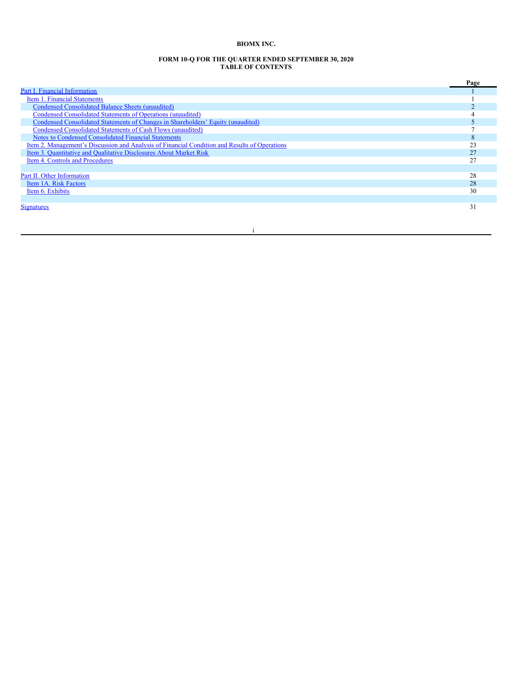# **BIOMX INC.**

#### **FORM 10-Q FOR THE QUARTER ENDED SEPTEMBER 30, 2020 TABLE OF CONTENTS**

|                                                                                               | Page |
|-----------------------------------------------------------------------------------------------|------|
| Part I. Financial Information                                                                 |      |
| Item 1. Financial Statements                                                                  |      |
| Condensed Consolidated Balance Sheets (unaudited)                                             |      |
| Condensed Consolidated Statements of Operations (unaudited)                                   |      |
| Condensed Consolidated Statements of Changes in Shareholders' Equity (unaudited)              |      |
| Condensed Consolidated Statements of Cash Flows (unaudited)                                   |      |
| Notes to Condensed Consolidated Financial Statements                                          |      |
| Item 2. Management's Discussion and Analysis of Financial Condition and Results of Operations |      |
| Item 3. Quantitative and Qualitative Disclosures About Market Risk                            | 27   |
| Item 4. Controls and Procedures                                                               | າາ   |
|                                                                                               |      |
| Part II. Other Information                                                                    | 28   |
| Item 1A. Risk Factors                                                                         | 28   |
| Item 6. Exhibits                                                                              | 30   |
|                                                                                               |      |
| <b>Signatures</b>                                                                             | 31   |

i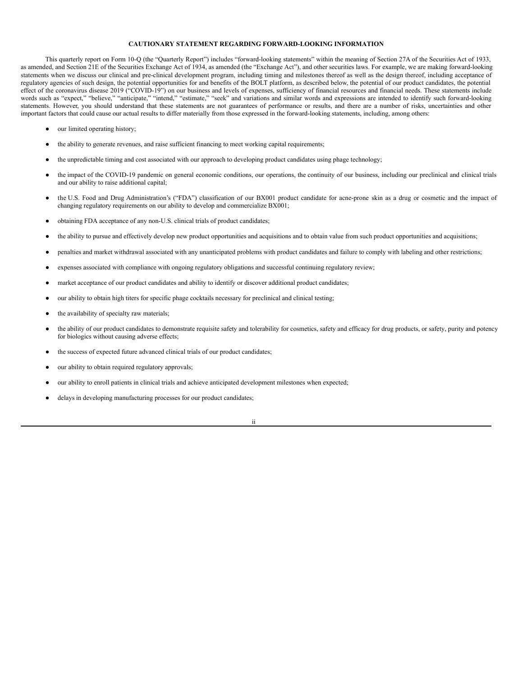### **CAUTIONARY STATEMENT REGARDING FORWARD-LOOKING INFORMATION**

This quarterly report on Form 10-Q (the "Quarterly Report") includes "forward-looking statements" within the meaning of Section 27A of the Securities Act of 1933, as amended, and Section 21E of the Securities Exchange Act of 1934, as amended (the "Exchange Act"), and other securities laws. For example, we are making forward-looking statements when we discuss our clinical and pre-clinical development program, including timing and milestones thereof as well as the design thereof, including acceptance of regulatory agencies of such design, the potential opportunities for and benefits of the BOLT platform, as described below, the potential of our product candidates, the potential effect of the coronavirus disease 2019 ("COVID-19") on our business and levels of expenses, sufficiency of financial resources and financial needs. These statements include words such as "expect," "believe," "anticipate," "intend," "setimate," "seek" and variations and similar words and expressions are intended to identify such forward-looking statements. However, you should understand that these statements are not guarantees of performance or results, and there are a number of risks, uncertainties and other important factors that could cause our actual results to differ materially from those expressed in the forward-looking statements, including, among others:

- our limited operating history;
- the ability to generate revenues, and raise sufficient financing to meet working capital requirements;
- the unpredictable timing and cost associated with our approach to developing product candidates using phage technology;
- the impact of the COVID-19 pandemic on general economic conditions, our operations, the continuity of our business, including our preclinical and clinical trials and our ability to raise additional capital;
- the U.S. Food and Drug Administration's ("FDA") classification of our BX001 product candidate for acne-prone skin as a drug or cosmetic and the impact of changing regulatory requirements on our ability to develop and commercialize BX001;
- obtaining FDA acceptance of any non-U.S. clinical trials of product candidates;
- the ability to pursue and effectively develop new product opportunities and acquisitions and to obtain value from such product opportunities and acquisitions;
- penalties and market withdrawal associated with any unanticipated problems with product candidates and failure to comply with labeling and other restrictions;
- expenses associated with compliance with ongoing regulatory obligations and successful continuing regulatory review;
- market acceptance of our product candidates and ability to identify or discover additional product candidates;
- our ability to obtain high titers for specific phage cocktails necessary for preclinical and clinical testing;
- the availability of specialty raw materials;
- the ability of our product candidates to demonstrate requisite safety and tolerability for cosmetics, safety and efficacy for drug products, or safety, purity and potency for biologics without causing adverse effects;
- the success of expected future advanced clinical trials of our product candidates;
- our ability to obtain required regulatory approvals;
- our ability to enroll patients in clinical trials and achieve anticipated development milestones when expected;
- delays in developing manufacturing processes for our product candidates;

ii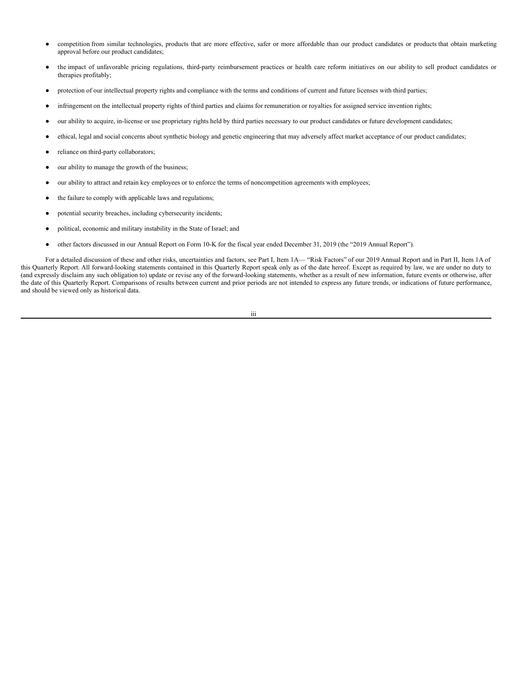- competition from similar technologies, products that are more effective, safer or more affordable than our product candidates or products that obtain marketing approval before our product candidates;
- the impact of unfavorable pricing regulations, third-party reimbursement practices or health care reform initiatives on our ability to sell product candidates or therapies profitably;
- protection of our intellectual property rights and compliance with the terms and conditions of current and future licenses with third parties;
- infringement on the intellectual property rights of third parties and claims for remuneration or royalties for assigned service invention rights;
- our ability to acquire, in-license or use proprietary rights held by third parties necessary to our product candidates or future development candidates;
- ethical, legal and social concerns about synthetic biology and genetic engineering that may adversely affect market acceptance of our product candidates;
- reliance on third-party collaborators;
- our ability to manage the growth of the business;
- our ability to attract and retain key employees or to enforce the terms of noncompetition agreements with employees;
- the failure to comply with applicable laws and regulations;
- potential security breaches, including cybersecurity incidents;
- political, economic and military instability in the State of Israel; and
- other factors discussed in our Annual Report on Form 10-K for the fiscal year ended December 31, 2019 (the "2019 Annual Report").

For a detailed discussion of these and other risks, uncertainties and factors, see Part I, Item 1A— "Risk Factors" of our 2019 Annual Report and in Part II, Item 1A of this Quarterly Report. All forward-looking statements contained in this Quarterly Report speak only as of the date hereof. Except as required by law, we are under no duty to (and expressly disclaim any such obligation to) update or revise any of the forward-looking statements, whether as a result of new information, future events or otherwise, after the date of this Quarterly Report. Comparisons of results between current and prior periods are not intended to express any future trends, or indications of future performance, and should be viewed only as historical data.

iii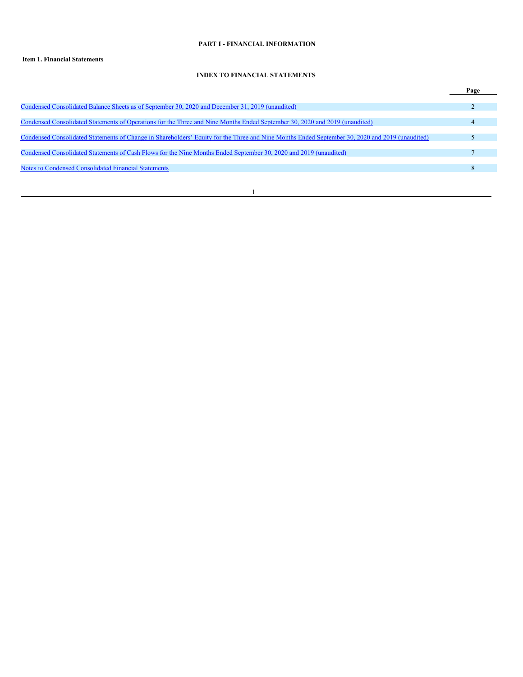# <span id="page-4-0"></span>**PART I - FINANCIAL INFORMATION**

# <span id="page-4-1"></span>**Item 1. Financial Statements**

### **INDEX TO FINANCIAL STATEMENTS**

|                                                                                                                                                 | Page |
|-------------------------------------------------------------------------------------------------------------------------------------------------|------|
| Condensed Consolidated Balance Sheets as of September 30, 2020 and December 31, 2019 (unaudited)                                                |      |
| Condensed Consolidated Statements of Operations for the Three and Nine Months Ended September 30, 2020 and 2019 (unaudited)                     |      |
| Condensed Consolidated Statements of Change in Shareholders' Equity for the Three and Nine Months Ended September 30, 2020 and 2019 (unaudited) |      |
| Condensed Consolidated Statements of Cash Flows for the Nine Months Ended September 30, 2020 and 2019 (unaudited)                               |      |
| <b>Notes to Condensed Consolidated Financial Statements</b>                                                                                     |      |
|                                                                                                                                                 |      |
|                                                                                                                                                 |      |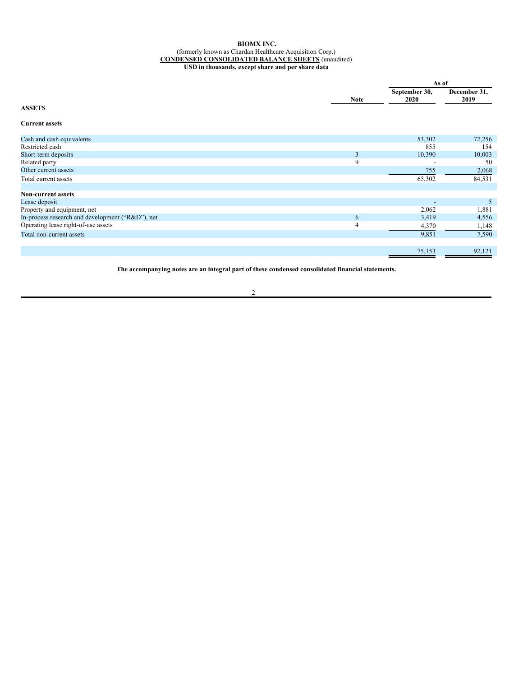### <span id="page-5-0"></span>**BIOMX INC.** (formerly known as Chardan Healthcare Acquisition Corp.) **CONDENSED CONSOLIDATED BALANCE SHEETS** (unaudited) **USD in thousands, except share and per share data**

|                                                  |             | As of                 |                      |  |
|--------------------------------------------------|-------------|-----------------------|----------------------|--|
|                                                  | <b>Note</b> | September 30,<br>2020 | December 31,<br>2019 |  |
| <b>ASSETS</b>                                    |             |                       |                      |  |
| <b>Current assets</b>                            |             |                       |                      |  |
| Cash and cash equivalents                        |             | 53,302                | 72,256               |  |
| Restricted cash                                  |             | 855                   | 154                  |  |
| Short-term deposits                              | 3           | 10,390                | 10,003               |  |
| Related party                                    | 9           |                       | 50                   |  |
| Other current assets                             |             | 755                   | 2,068                |  |
| Total current assets                             |             | 65,302                | 84,531               |  |
| <b>Non-current assets</b>                        |             |                       |                      |  |
| Lease deposit                                    |             |                       | 5                    |  |
| Property and equipment, net                      |             | 2,062                 | 1,881                |  |
| In-process research and development ("R&D"), net | 6           | 3,419                 | 4,556                |  |
| Operating lease right-of-use assets              | 4           | 4,370                 | 1,148                |  |
| Total non-current assets                         |             | 9,851                 | 7,590                |  |
|                                                  |             | 75,153                | 92,121               |  |

**The accompanying notes are an integral part of these condensed consolidated financial statements.**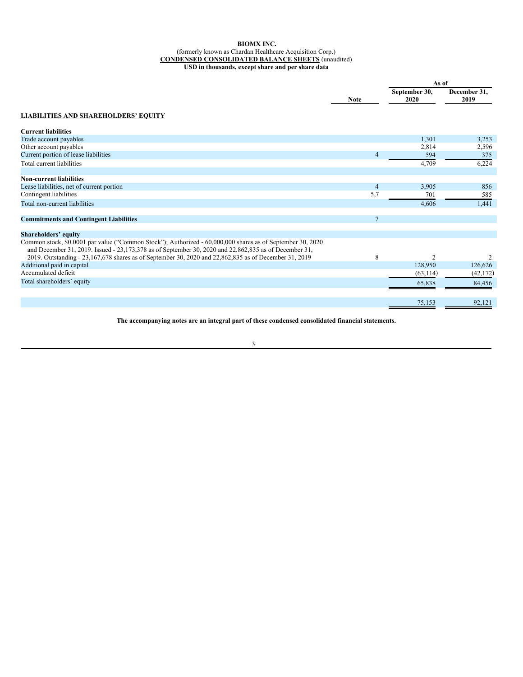# **BIOMX INC.**

#### (formerly known as Chardan Healthcare Acquisition Corp.) **CONDENSED CONSOLIDATED BALANCE SHEETS** (unaudited)

**USD in thousands, except share and per share data**

|                                                                                                                                                                                                                         |                 | As of                 |                      |
|-------------------------------------------------------------------------------------------------------------------------------------------------------------------------------------------------------------------------|-----------------|-----------------------|----------------------|
|                                                                                                                                                                                                                         | <b>Note</b>     | September 30,<br>2020 | December 31,<br>2019 |
| <b>LIABILITIES AND SHAREHOLDERS' EQUITY</b>                                                                                                                                                                             |                 |                       |                      |
| <b>Current liabilities</b>                                                                                                                                                                                              |                 |                       |                      |
| Trade account payables                                                                                                                                                                                                  |                 | 1,301                 | 3,253                |
| Other account payables                                                                                                                                                                                                  |                 | 2,814                 | 2,596                |
| Current portion of lease liabilities                                                                                                                                                                                    | $\overline{4}$  | 594                   | 375                  |
| Total current liabilities                                                                                                                                                                                               |                 | 4,709                 | 6,224                |
| <b>Non-current liabilities</b>                                                                                                                                                                                          |                 |                       |                      |
| Lease liabilities, net of current portion                                                                                                                                                                               | $\overline{4}$  | 3,905                 | 856                  |
| Contingent liabilities                                                                                                                                                                                                  | 5,7             | 701                   | 585                  |
| Total non-current liabilities                                                                                                                                                                                           |                 | 4,606                 | 1,441                |
| <b>Commitments and Contingent Liabilities</b>                                                                                                                                                                           | $7\phantom{.0}$ |                       |                      |
| <b>Shareholders' equity</b>                                                                                                                                                                                             |                 |                       |                      |
| Common stock, \$0.0001 par value ("Common Stock"); Authorized - 60,000,000 shares as of September 30, 2020<br>and December 31, 2019. Issued - 23, 173, 378 as of September 30, 2020 and 22, 862, 835 as of December 31, |                 |                       |                      |
| 2019. Outstanding - 23,167,678 shares as of September 30, 2020 and 22,862,835 as of December 31, 2019                                                                                                                   | 8               | 2                     | 2                    |
| Additional paid in capital                                                                                                                                                                                              |                 | 128,950               | 126,626              |
| Accumulated deficit                                                                                                                                                                                                     |                 | (63, 114)             | (42, 172)            |
| Total shareholders' equity                                                                                                                                                                                              |                 | 65,838                | 84,456               |
|                                                                                                                                                                                                                         |                 | 75,153                | 92,121               |

**The accompanying notes are an integral part of these condensed consolidated financial statements.**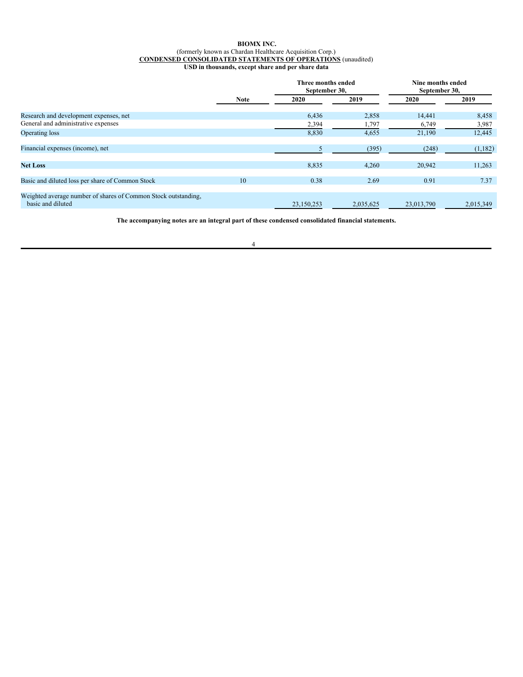### <span id="page-7-0"></span>**BIOMX INC.** (formerly known as Chardan Healthcare Acquisition Corp.) **CONDENSED CONSOLIDATED STATEMENTS OF OPERATIONS** (unaudited) **USD in thousands, except share and per share data**

|                                                                                     | <b>Note</b> | Three months ended<br>September 30, |           | Nine months ended<br>September 30, |           |
|-------------------------------------------------------------------------------------|-------------|-------------------------------------|-----------|------------------------------------|-----------|
|                                                                                     |             | 2020                                | 2019      | 2020                               | 2019      |
| Research and development expenses, net                                              |             | 6,436                               | 2,858     | 14,441                             | 8,458     |
| General and administrative expenses                                                 |             | 2,394                               | 1,797     | 6,749                              | 3,987     |
| Operating loss                                                                      |             | 8,830                               | 4,655     | 21,190                             | 12,445    |
| Financial expenses (income), net                                                    |             |                                     | (395)     | (248)                              | (1,182)   |
| <b>Net Loss</b>                                                                     |             | 8,835                               | 4,260     | 20,942                             | 11,263    |
| Basic and diluted loss per share of Common Stock                                    | 10          | 0.38                                | 2.69      | 0.91                               | 7.37      |
| Weighted average number of shares of Common Stock outstanding,<br>basic and diluted |             | 23.150.253                          | 2.035.625 | 23,013,790                         | 2.015.349 |

**The accompanying notes are an integral part of these condensed consolidated financial statements.**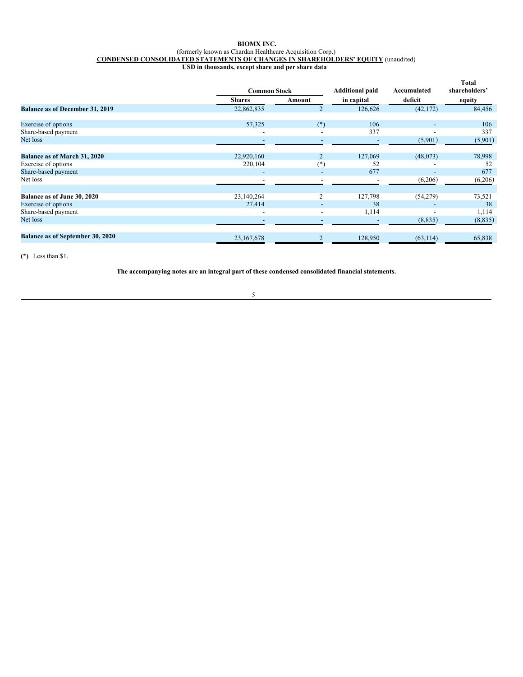### <span id="page-8-0"></span>**BIOMX INC.** (formerly known as Chardan Healthcare Acquisition Corp.) **CONDENSED CONSOLIDATED STATEMENTS OF CHANGES IN SHAREHOLDERS' EQUITY** (unaudited) **USD in thousands, except share and per share data**

|                                  |                          | <b>Common Stock</b>      | <b>Additional paid</b> | Accumulated              | <b>Total</b><br>shareholders' |  |
|----------------------------------|--------------------------|--------------------------|------------------------|--------------------------|-------------------------------|--|
|                                  | <b>Shares</b>            | Amount                   | in capital             | deficit                  | equity                        |  |
| Balance as of December 31, 2019  | 22,862,835               |                          | 126,626                | (42, 172)                | 84,456                        |  |
| Exercise of options              | 57,325                   | $(*)$                    | 106                    | $\overline{\phantom{a}}$ | 106                           |  |
| Share-based payment              |                          |                          | 337                    |                          | 337                           |  |
| Net loss                         |                          |                          |                        | (5,901)                  | (5,901)                       |  |
| Balance as of March 31, 2020     | 22,920,160               |                          | 127,069                | (48,073)                 | 78,998                        |  |
| Exercise of options              | 220,104                  | $(*)$                    | 52                     | ٠                        | 52                            |  |
| Share-based payment              |                          |                          | 677                    | -                        | 677                           |  |
| Net loss                         |                          |                          |                        | (6,206)                  | (6,206)                       |  |
| Balance as of June 30, 2020      | 23,140,264               | 2                        | 127,798                | (54,279)                 | 73,521                        |  |
| Exercise of options              | 27,414                   | $\overline{\phantom{a}}$ | 38                     | $\overline{\phantom{0}}$ | 38                            |  |
| Share-based payment              | $\overline{\phantom{a}}$ | ٠                        | 1,114                  | $\overline{\phantom{a}}$ | 1,114                         |  |
| Net loss                         |                          |                          |                        | (8,835)                  | (8,835)                       |  |
| Balance as of September 30, 2020 | 23, 167, 678             |                          | 128,950                | (63, 114)                | 65,838                        |  |
|                                  |                          |                          |                        |                          |                               |  |

**(\*)** Less than \$1.

**The accompanying notes are an integral part of these condensed consolidated financial statements.**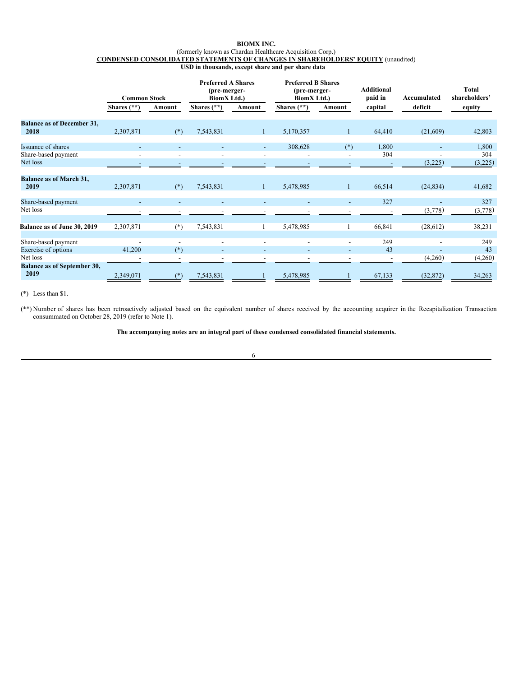### **BIOMX INC.** (formerly known as Chardan Healthcare Acquisition Corp.) **CONDENSED CONSOLIDATED STATEMENTS OF CHANGES IN SHAREHOLDERS' EQUITY** (unaudited) **USD in thousands, except share and per share data**

|                                                | <b>Common Stock</b> |                                   | <b>Preferred A Shares</b><br>(pre-merger-<br>BiomX Ltd.) |                          | <b>Preferred B Shares</b><br>(pre-merger-<br><b>BiomX</b> Ltd.) |                          | <b>Additional</b><br>paid in | Accumulated              | Total<br>shareholders' |
|------------------------------------------------|---------------------|-----------------------------------|----------------------------------------------------------|--------------------------|-----------------------------------------------------------------|--------------------------|------------------------------|--------------------------|------------------------|
|                                                | Shares $(**)$       | Amount                            | Shares $(**)$                                            | Amount                   | Shares $(**)$                                                   | Amount                   | capital                      | deficit                  | equity                 |
| <b>Balance as of December 31,</b><br>2018      | 2,307,871           | $(*)$                             | 7,543,831                                                | $\mathbf{1}$             | 5,170,357                                                       |                          | 64,410                       | (21,609)                 | 42,803                 |
| Issuance of shares<br>Share-based payment      |                     |                                   |                                                          | $\overline{a}$           | 308,628                                                         | $(*)$                    | 1,800<br>304                 |                          | 1,800<br>304           |
| Net loss                                       |                     |                                   |                                                          |                          |                                                                 |                          |                              | (3,225)                  | (3,225)                |
| <b>Balance as of March 31,</b><br>2019         | 2,307,871           | $(*)$                             | 7,543,831                                                | $\mathbf{1}$             | 5,478,985                                                       |                          | 66,514                       | (24, 834)                | 41,682                 |
| Share-based payment<br>Net loss                |                     |                                   |                                                          |                          |                                                                 |                          | 327                          | (3,778)                  | 327<br>(3,778)         |
| Balance as of June 30, 2019                    | 2,307,871           | $(*)$                             | 7,543,831                                                | 1                        | 5,478,985                                                       |                          | 66,841                       | (28,612)                 | 38,231                 |
| Share-based payment<br>Exercise of options     | ۰<br>41,200         | $\overline{\phantom{a}}$<br>$(*)$ | $\blacksquare$                                           | $\overline{\phantom{a}}$ | $\overline{\phantom{a}}$                                        | $\overline{\phantom{a}}$ | 249<br>43                    | $\overline{\phantom{a}}$ | 249<br>43              |
| Net loss<br><b>Balance as of September 30,</b> |                     |                                   |                                                          |                          |                                                                 |                          | $\overline{\phantom{a}}$     | (4,260)                  | (4,260)                |
| 2019                                           | 2,349,071           | $($ *`                            | 7,543,831                                                |                          | 5,478,985                                                       |                          | 67,133                       | (32, 872)                | 34,263                 |

(\*) Less than \$1.

(\*\*) Number of shares has been retroactively adjusted based on the equivalent number of shares received by the accounting acquirer in the Recapitalization Transaction consummated on October 28, 2019 (refer to Note 1).

**The accompanying notes are an integral part of these condensed consolidated financial statements.**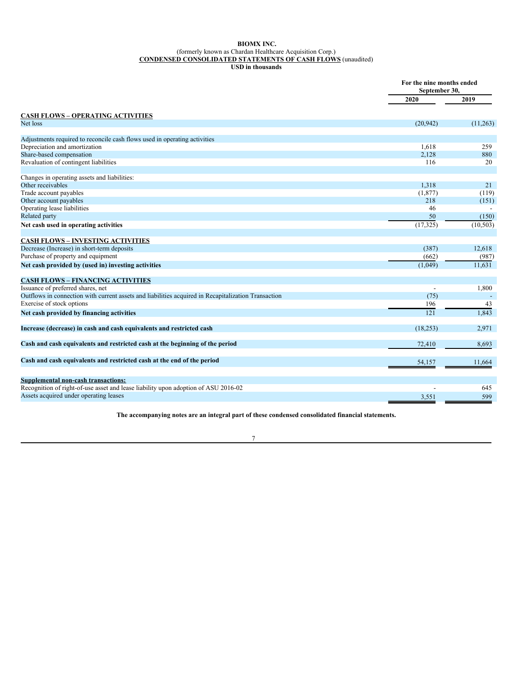#### <span id="page-10-0"></span>**BIOMX INC.** (formerly known as Chardan Healthcare Acquisition Corp.) **CONDENSED CONSOLIDATED STATEMENTS OF CASH FLOWS** (unaudited) **USD in thousands**

|                                                                                                     | For the nine months ended<br>September 30, |           |
|-----------------------------------------------------------------------------------------------------|--------------------------------------------|-----------|
|                                                                                                     | 2020                                       | 2019      |
| <b>CASH FLOWS - OPERATING ACTIVITIES</b>                                                            |                                            |           |
| Net loss                                                                                            | (20, 942)                                  | (11,263)  |
| Adjustments required to reconcile cash flows used in operating activities                           |                                            |           |
| Depreciation and amortization                                                                       | 1.618                                      | 259       |
| Share-based compensation                                                                            | 2,128                                      | 880       |
| Revaluation of contingent liabilities                                                               | 116                                        | 20        |
| Changes in operating assets and liabilities:                                                        |                                            |           |
| Other receivables                                                                                   | 1,318                                      | 21        |
| Trade account payables                                                                              | (1, 877)                                   | (119)     |
| Other account payables                                                                              | 218                                        | (151)     |
| Operating lease liabilities                                                                         | 46                                         |           |
| Related party                                                                                       | 50                                         | (150)     |
| Net cash used in operating activities                                                               | (17, 325)                                  | (10, 503) |
| <b>CASH FLOWS - INVESTING ACTIVITIES</b>                                                            |                                            |           |
| Decrease (Increase) in short-term deposits                                                          | (387)                                      | 12,618    |
| Purchase of property and equipment                                                                  | (662)                                      | (987)     |
| Net cash provided by (used in) investing activities                                                 | (1,049)                                    | 11.631    |
| <b>CASH FLOWS - FINANCING ACTIVITIES</b>                                                            |                                            |           |
| Issuance of preferred shares, net                                                                   |                                            | 1,800     |
| Outflows in connection with current assets and liabilities acquired in Recapitalization Transaction | (75)                                       |           |
| Exercise of stock options                                                                           | 196                                        | 43        |
| Net cash provided by financing activities                                                           | 121                                        | 1.843     |
| Increase (decrease) in cash and cash equivalents and restricted cash                                | (18, 253)                                  | 2,971     |
| Cash and cash equivalents and restricted cash at the beginning of the period                        | 72,410                                     | 8,693     |
| Cash and cash equivalents and restricted cash at the end of the period                              | 54,157                                     | 11,664    |
| <b>Supplemental non-cash transactions:</b>                                                          |                                            |           |
| Recognition of right-of-use asset and lease liability upon adoption of ASU 2016-02                  |                                            | 645       |
| Assets acquired under operating leases                                                              | 3,551                                      | 599       |

**The accompanying notes are an integral part of these condensed consolidated financial statements.**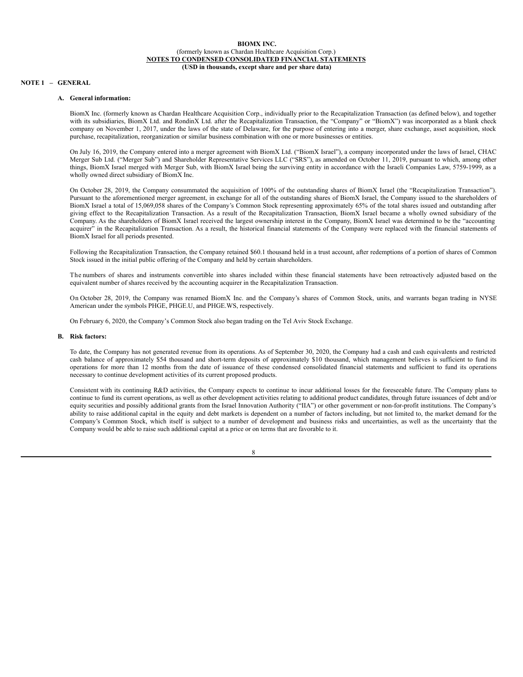### **NOTE 1 – GENERAL**

# **A. General information:**

<span id="page-11-0"></span>BiomX Inc. (formerly known as Chardan Healthcare Acquisition Corp., individually prior to the Recapitalization Transaction (as defined below), and together with its subsidiaries, BiomX Ltd. and RondinX Ltd. after the Recapitalization Transaction, the "Company" or "BiomX") was incorporated as a blank check company on November 1, 2017, under the laws of the state of Delaware, for the purpose of entering into a merger, share exchange, asset acquisition, stock purchase, recapitalization, reorganization or similar business combination with one or more businesses or entities.

On July 16, 2019, the Company entered into a merger agreement with BiomX Ltd. ("BiomX Israel"), a company incorporated under the laws of Israel, CHAC Merger Sub Ltd. ("Merger Sub") and Shareholder Representative Services LLC ("SRS"), as amended on October 11, 2019, pursuant to which, among other things, BiomX Israel merged with Merger Sub, with BiomX Israel being the surviving entity in accordance with the Israeli Companies Law, 5759-1999, as a wholly owned direct subsidiary of BiomX Inc.

On October 28, 2019, the Company consummated the acquisition of 100% of the outstanding shares of BiomX Israel (the "Recapitalization Transaction"). Pursuant to the aforementioned merger agreement, in exchange for all of the outstanding shares of BiomX Israel, the Company issued to the shareholders of BiomX Israel a total of 15,069,058 shares of the Company's Common Stock representing approximately 65% of the total shares issued and outstanding after giving effect to the Recapitalization Transaction. As a result of the Recapitalization Transaction, BiomX Israel became a wholly owned subsidiary of the Company. As the shareholders of BiomX Israel received the largest ownership interest in the Company, BiomX Israel was determined to be the "accounting acquirer" in the Recapitalization Transaction. As a result, the historical financial statements of the Company were replaced with the financial statements of BiomX Israel for all periods presented.

Following the Recapitalization Transaction, the Company retained \$60.1 thousand held in a trust account, after redemptions of a portion of shares of Common Stock issued in the initial public offering of the Company and held by certain shareholders.

The numbers of shares and instruments convertible into shares included within these financial statements have been retroactively adjusted based on the equivalent number of shares received by the accounting acquirer in the Recapitalization Transaction.

On October 28, 2019, the Company was renamed BiomX Inc. and the Company's shares of Common Stock, units, and warrants began trading in NYSE American under the symbols PHGE, PHGE.U, and PHGE.WS, respectively.

On February 6, 2020, the Company's Common Stock also began trading on the Tel Aviv Stock Exchange.

#### **B. Risk factors:**

To date, the Company has not generated revenue from its operations. As of September 30, 2020, the Company had a cash and cash equivalents and restricted cash balance of approximately \$54 thousand and short-term deposits of approximately \$10 thousand, which management believes is sufficient to fund its operations for more than 12 months from the date of issuance of these condensed consolidated financial statements and sufficient to fund its operations necessary to continue development activities of its current proposed products.

Consistent with its continuing R&D activities, the Company expects to continue to incur additional losses for the foreseeable future. The Company plans to continue to fund its current operations, as well as other development activities relating to additional product candidates, through future issuances of debt and/or equity securities and possibly additional grants from the Israel Innovation Authority ("IIA") or other government or non-for-profit institutions. The Company's ability to raise additional capital in the equity and debt markets is dependent on a number of factors including, but not limited to, the market demand for the Company's Common Stock, which itself is subject to a number of development and business risks and uncertainties, as well as the uncertainty that the Company would be able to raise such additional capital at a price or on terms that are favorable to it.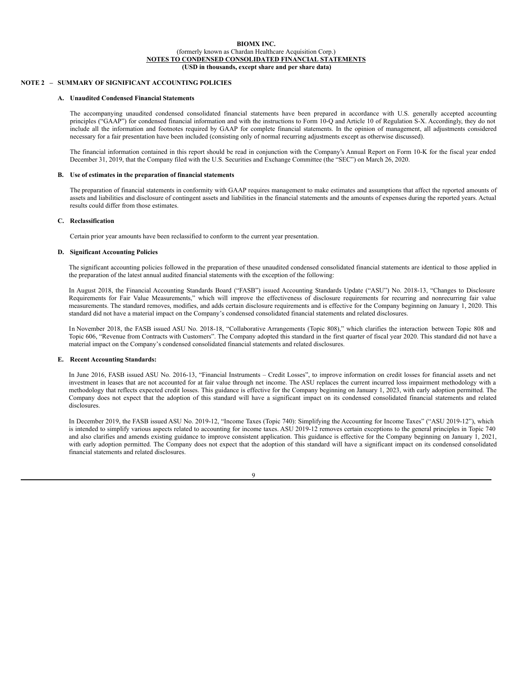### **NOTE 2 – SUMMARY OF SIGNIFICANT ACCOUNTING POLICIES**

### **A. Unaudited Condensed Financial Statements**

The accompanying unaudited condensed consolidated financial statements have been prepared in accordance with U.S. generally accepted accounting principles ("GAAP") for condensed financial information and with the instructions to Form 10-Q and Article 10 of Regulation S-X. Accordingly, they do not include all the information and footnotes required by GAAP for complete financial statements. In the opinion of management, all adjustments considered necessary for a fair presentation have been included (consisting only of normal recurring adjustments except as otherwise discussed).

The financial information contained in this report should be read in conjunction with the Company's Annual Report on Form 10-K for the fiscal year ended December 31, 2019, that the Company filed with the U.S. Securities and Exchange Committee (the "SEC") on March 26, 2020.

#### **B. Use of estimates in the preparation of financial statements**

The preparation of financial statements in conformity with GAAP requires management to make estimates and assumptions that affect the reported amounts of assets and liabilities and disclosure of contingent assets and liabilities in the financial statements and the amounts of expenses during the reported years. Actual results could differ from those estimates.

### **C. Reclassification**

Certain prior year amounts have been reclassified to conform to the current year presentation.

#### **D. Significant Accounting Policies**

The significant accounting policies followed in the preparation of these unaudited condensed consolidated financial statements are identical to those applied in the preparation of the latest annual audited financial statements with the exception of the following:

In August 2018, the Financial Accounting Standards Board ("FASB") issued Accounting Standards Update ("ASU") No. 2018-13, "Changes to Disclosure Requirements for Fair Value Measurements," which will improve the effectiveness of disclosure requirements for recurring and nonrecurring fair value measurements. The standard removes, modifies, and adds certain disclosure requirements and is effective for the Company beginning on January 1, 2020. This standard did not have a material impact on the Company's condensed consolidated financial statements and related disclosures.

In November 2018, the FASB issued ASU No. 2018-18, "Collaborative Arrangements (Topic 808)," which clarifies the interaction between Topic 808 and Topic 606, "Revenue from Contracts with Customers". The Company adopted this standard in the first quarter of fiscal year 2020. This standard did not have a material impact on the Company's condensed consolidated financial statements and related disclosures.

#### **E. Recent Accounting Standards:**

In June 2016, FASB issued ASU No. 2016-13, "Financial Instruments – Credit Losses", to improve information on credit losses for financial assets and net investment in leases that are not accounted for at fair value through net income. The ASU replaces the current incurred loss impairment methodology with a methodology that reflects expected credit losses. This guidance is effective for the Company beginning on January 1, 2023, with early adoption permitted. The Company does not expect that the adoption of this standard will have a significant impact on its condensed consolidated financial statements and related disclosures.

In December 2019, the FASB issued ASU No. 2019-12, "Income Taxes (Topic 740): Simplifying the Accounting for Income Taxes" ("ASU 2019-12"), which is intended to simplify various aspects related to accounting for income taxes. ASU 2019-12 removes certain exceptions to the general principles in Topic 740 and also clarifies and amends existing guidance to improve consistent application. This guidance is effective for the Company beginning on January 1, 2021, with early adoption permitted. The Company does not expect that the adoption of this standard will have a significant impact on its condensed consolidated financial statements and related disclosures.

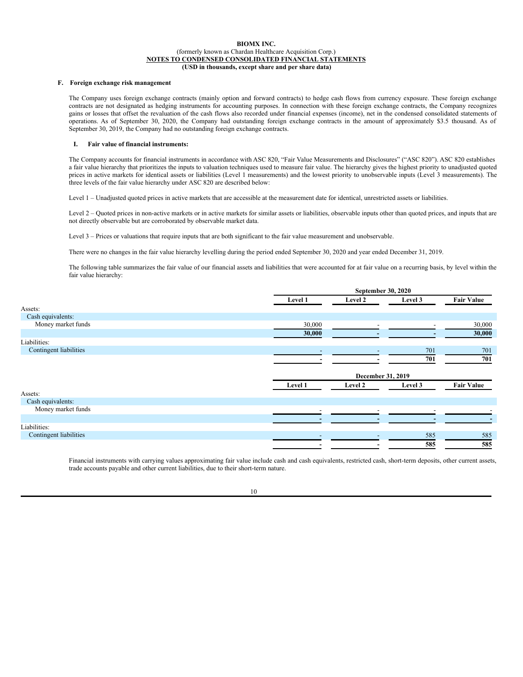### **F. Foreign exchange risk management**

The Company uses foreign exchange contracts (mainly option and forward contracts) to hedge cash flows from currency exposure. These foreign exchange contracts are not designated as hedging instruments for accounting purposes. In connection with these foreign exchange contracts, the Company recognizes gains or losses that offset the revaluation of the cash flows also recorded under financial expenses (income), net in the condensed consolidated statements of operations. As of September 30, 2020, the Company had outstanding foreign exchange contracts in the amount of approximately \$3.5 thousand. As of September 30, 2019, the Company had no outstanding foreign exchange contracts.

### **I. Fair value of financial instruments:**

The Company accounts for financial instruments in accordance with ASC 820, "Fair Value Measurements and Disclosures" ("ASC 820"). ASC 820 establishes a fair value hierarchy that prioritizes the inputs to valuation techniques used to measure fair value. The hierarchy gives the highest priority to unadjusted quoted prices in active markets for identical assets or liabilities (Level 1 measurements) and the lowest priority to unobservable inputs (Level 3 measurements). The three levels of the fair value hierarchy under ASC 820 are described below:

Level 1 – Unadjusted quoted prices in active markets that are accessible at the measurement date for identical, unrestricted assets or liabilities.

Level 2 – Quoted prices in non-active markets or in active markets for similar assets or liabilities, observable inputs other than quoted prices, and inputs that are not directly observable but are corroborated by observable market data.

Level 3 – Prices or valuations that require inputs that are both significant to the fair value measurement and unobservable.

There were no changes in the fair value hierarchy levelling during the period ended September 30, 2020 and year ended December 31, 2019.

The following table summarizes the fair value of our financial assets and liabilities that were accounted for at fair value on a recurring basis, by level within the fair value hierarchy:

|                        |         | September 30, 2020 |         |                   |  |
|------------------------|---------|--------------------|---------|-------------------|--|
|                        | Level 1 | Level 2            | Level 3 | <b>Fair Value</b> |  |
| Assets:                |         |                    |         |                   |  |
| Cash equivalents:      |         |                    |         |                   |  |
| Money market funds     | 30,000  |                    |         | 30,000            |  |
|                        | 30,000  |                    |         | 30,000            |  |
| Liabilities:           |         |                    |         |                   |  |
| Contingent liabilities |         |                    | 701     | 701               |  |
|                        |         |                    | 701     | 701               |  |
|                        |         | December 31, 2019  |         |                   |  |
|                        | Level 1 | Level 2            | Level 3 | <b>Fair Value</b> |  |
| Assets:                |         |                    |         |                   |  |
| Cash equivalents:      |         |                    |         |                   |  |
| Money market funds     |         |                    |         |                   |  |
|                        |         |                    |         |                   |  |
| Liabilities:           |         |                    |         |                   |  |
| Contingent liabilities |         |                    | 585     | 585               |  |
|                        |         |                    | 585     | 585               |  |

Financial instruments with carrying values approximating fair value include cash and cash equivalents, restricted cash, short-term deposits, other current assets, trade accounts payable and other current liabilities, due to their short-term nature.

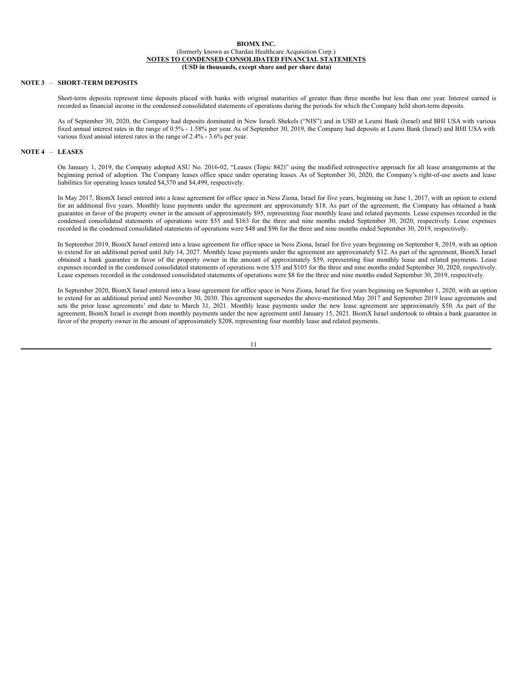# **NOTE 3** – **SHORT-TERM DEPOSITS**

Short-term deposits represent time deposits placed with banks with original maturities of greater than three months but less than one year. Interest earned is recorded as financial income in the condensed consolidated statements of operations during the periods for which the Company held short-term deposits.

As of September 30, 2020, the Company had deposits dominated in New Israeli Shekels ("NIS") and in USD at Leumi Bank (Israel) and BHI USA with various fixed annual interest rates in the range of 0.5% - 1.58% per year. As of September 30, 2019, the Company had deposits at Leumi Bank (Israel) and BHI USA with various fixed annual interest rates in the range of 2.4% - 3.6% per year.

### **NOTE 4** – **LEASES**

On January 1, 2019, the Company adopted ASU No. 2016-02, "Leases (Topic 842)" using the modified retrospective approach for all lease arrangements at the beginning period of adoption. The Company leases office space under operating leases. As of September 30, 2020, the Company's right-of-use assets and lease liabilities for operating leases totaled \$4,370 and \$4,499, respectively.

In May 2017, BiomX Israel entered into a lease agreement for office space in Ness Ziona, Israel for five years, beginning on June 1, 2017, with an option to extend for an additional five years. Monthly lease payments under the agreement are approximately \$18. As part of the agreement, the Company has obtained a bank guarantee in favor of the property owner in the amount of approximately \$95, representing four monthly lease and related payments. Lease expenses recorded in the condensed consolidated statements of operations were \$55 and \$163 for the three and nine months ended September 30, 2020, respectively. Lease expenses recorded in the condensed consolidated statements of operations were \$48 and \$96 for the three and nine months ended September 30, 2019, respectively.

In September 2019, BiomX Israel entered into a lease agreement for office space in Ness Ziona, Israel for five years beginning on September 8, 2019, with an option to extend for an additional period until July 14, 2027. Monthly lease payments under the agreement are approximately \$12. As part of the agreement, BiomX Israel obtained a bank guarantee in favor of the property owner in the amount of approximately \$59, representing four monthly lease and related payments. Lease expenses recorded in the condensed consolidated statements of operations were \$35 and \$105 for the three and nine months ended September 30, 2020, respectively. Lease expenses recorded in the condensed consolidated statements of operations were \$8 for the three and nine months ended September 30, 2019, respectively.

In September 2020, BiomX Israel entered into a lease agreement for office space in Ness Ziona, Israel for five years beginning on September 1, 2020, with an option to extend for an additional period until November 30, 2030. This agreement supersedes the above-mentioned May 2017 and September 2019 lease agreements and sets the prior lease agreements' end date to March 31, 2021. Monthly lease payments under the new lease agreement are approximately \$50. As part of the agreement, BiomX Israel is exempt from monthly payments under the new agreement until January 15, 2021. BiomX Israel undertook to obtain a bank guarantee in favor of the property owner in the amount of approximately \$208, representing four monthly lease and related payments.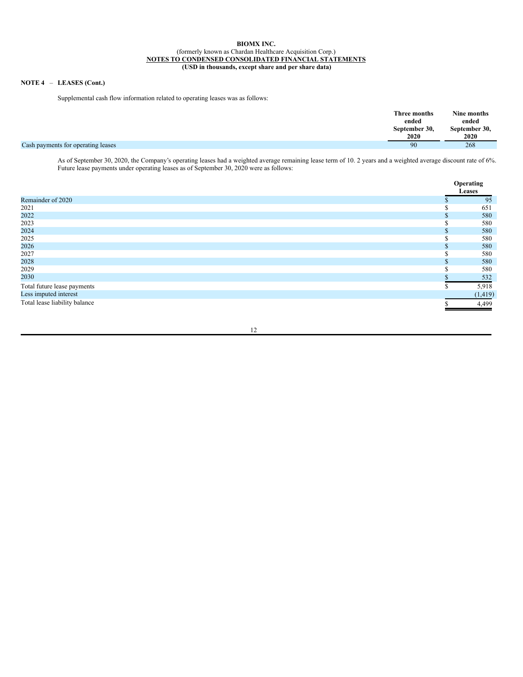# **NOTE 4** – **LEASES (Cont.)**

Supplemental cash flow information related to operating leases was as follows:

|                                    | Three months<br>ended<br>September 30,<br>2020 | Nine months<br>ended<br>September 30,<br>2020 |
|------------------------------------|------------------------------------------------|-----------------------------------------------|
| Cash payments for operating leases | 90                                             | 268                                           |

As of September 30, 2020, the Company's operating leases had a weighted average remaining lease term of 10. 2 years and a weighted average discount rate of 6%. Future lease payments under operating leases as of September 30, 2020 were as follows:

|                               |    | Operating<br>Leases |
|-------------------------------|----|---------------------|
| Remainder of 2020             |    | 95                  |
| 2021                          |    | 651                 |
| 2022                          | .n | 580                 |
| 2023                          |    | 580                 |
| 2024                          |    | 580                 |
| 2025                          |    | 580                 |
| 2026                          |    | 580                 |
| 2027                          |    | 580                 |
| 2028                          |    | 580                 |
| 2029                          |    | 580                 |
| 2030                          |    | 532                 |
| Total future lease payments   |    | 5,918               |
| Less imputed interest         |    | (1, 419)            |
| Total lease liability balance |    | 4,499               |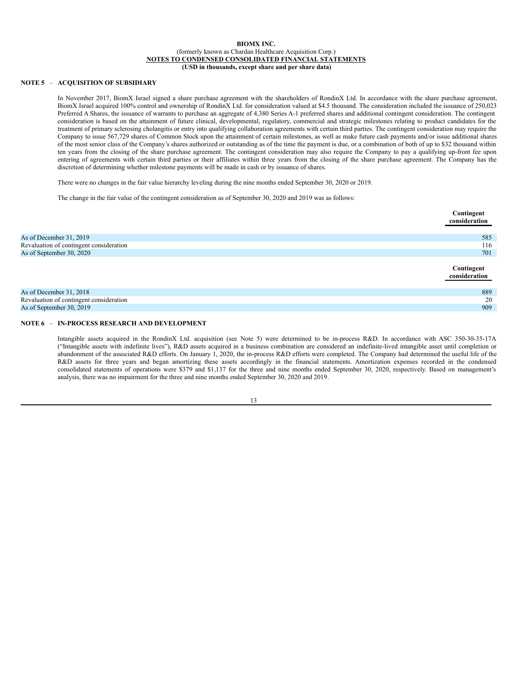# **NOTE 5** – **ACQUISITION OF SUBSIDIARY**

In November 2017, BiomX Israel signed a share purchase agreement with the shareholders of RondinX Ltd. In accordance with the share purchase agreement, BiomX Israel acquired 100% control and ownership of RondinX Ltd. for consideration valued at \$4.5 thousand. The consideration included the issuance of 250,023 Preferred A Shares, the issuance of warrants to purchase an aggregate of 4,380 Series A-1 preferred shares and additional contingent consideration. The contingent consideration is based on the attainment of future clinical, developmental, regulatory, commercial and strategic milestones relating to product candidates for the treatment of primary sclerosing cholangitis or entry into qualifying collaboration agreements with certain third parties. The contingent consideration may require the Company to issue 567,729 shares of Common Stock upon the attainment of certain milestones, as well as make future cash payments and/or issue additional shares of the most senior class of the Company's shares authorized or outstanding as of the time the payment is due, or a combination of both of up to \$32 thousand within ten years from the closing of the share purchase agreement. The contingent consideration may also require the Company to pay a qualifying up-front fee upon entering of agreements with certain third parties or their affiliates within three years from the closing of the share purchase agreement. The Company has the discretion of determining whether milestone payments will be made in cash or by issuance of shares.

There were no changes in the fair value hierarchy leveling during the nine months ended September 30, 2020 or 2019.

The change in the fair value of the contingent consideration as of September 30, 2020 and 2019 was as follows:

|                                         | Contingent<br>consideration |
|-----------------------------------------|-----------------------------|
| As of December 31, 2019                 | 585                         |
| Revaluation of contingent consideration | 116                         |
| As of September 30, 2020                | 701                         |
|                                         | Contingent<br>consideration |
| As of December 31, 2018                 | 889                         |
| Revaluation of contingent consideration | 20                          |
| As of September 30, 2019                | 909                         |

# **NOTE 6** – **IN-PROCESS RESEARCH AND DEVELOPMENT**

Intangible assets acquired in the RondinX Ltd. acquisition (see Note 5) were determined to be in-process R&D. In accordance with ASC 350-30-35-17A ("Intangible assets with indefinite lives"), R&D assets acquired in a business combination are considered an indefinite-lived intangible asset until completion or abandonment of the associated R&D efforts. On January 1, 2020, the in-process R&D efforts were completed. The Company had determined the useful life of the R&D assets for three years and began amortizing these assets accordingly in the financial statements. Amortization expenses recorded in the condensed consolidated statements of operations were \$379 and \$1,137 for the three and nine months ended September 30, 2020, respectively. Based on management's analysis, there was no impairment for the three and nine months ended September 30, 2020 and 2019.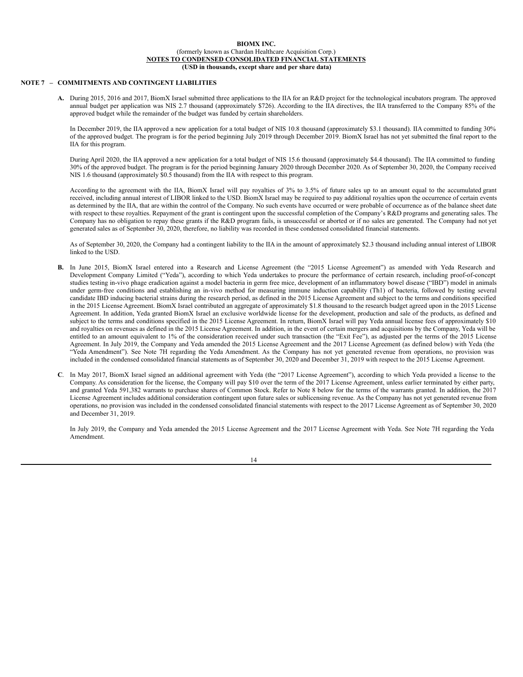### **NOTE 7 – COMMITMENTS AND CONTINGENT LIABILITIES**

**A.** During 2015, 2016 and 2017, BiomX Israel submitted three applications to the IIA for an R&D project for the technological incubators program. The approved annual budget per application was NIS 2.7 thousand (approximately \$726). According to the IIA directives, the IIA transferred to the Company 85% of the approved budget while the remainder of the budget was funded by certain shareholders.

In December 2019, the IIA approved a new application for a total budget of NIS 10.8 thousand (approximately \$3.1 thousand). IIA committed to funding 30% of the approved budget. The program is for the period beginning July 2019 through December 2019. BiomX Israel has not yet submitted the final report to the IIA for this program.

During April 2020, the IIA approved a new application for a total budget of NIS 15.6 thousand (approximately \$4.4 thousand). The IIA committed to funding 30% of the approved budget. The program is for the period beginning January 2020 through December 2020. As of September 30, 2020, the Company received NIS 1.6 thousand (approximately \$0.5 thousand) from the IIA with respect to this program.

According to the agreement with the IIA, BiomX Israel will pay royalties of 3% to 3.5% of future sales up to an amount equal to the accumulated grant received, including annual interest of LIBOR linked to the USD. BiomX Israel may be required to pay additional royalties upon the occurrence of certain events as determined by the IIA, that are within the control of the Company. No such events have occurred or were probable of occurrence as of the balance sheet date with respect to these royalties. Repayment of the grant is contingent upon the successful completion of the Company's R&D programs and generating sales. The Company has no obligation to repay these grants if the R&D program fails, is unsuccessful or aborted or if no sales are generated. The Company had not yet generated sales as of September 30, 2020, therefore, no liability was recorded in these condensed consolidated financial statements.

As of September 30, 2020, the Company had a contingent liability to the IIA in the amount of approximately \$2.3 thousand including annual interest of LIBOR linked to the USD.

- **B.** In June 2015, BiomX Israel entered into a Research and License Agreement (the "2015 License Agreement") as amended with Yeda Research and Development Company Limited ("Yeda"), according to which Yeda undertakes to procure the performance of certain research, including proof-of-concept studies testing in-vivo phage eradication against a model bacteria in germ free mice, development of an inflammatory bowel disease ("IBD") model in animals under germ-free conditions and establishing an in-vivo method for measuring immune induction capability (Th1) of bacteria, followed by testing several candidate IBD inducing bacterial strains during the research period, as defined in the 2015 License Agreement and subject to the terms and conditions specified in the 2015 License Agreement. BiomX Israel contributed an aggregate of approximately \$1.8 thousand to the research budget agreed upon in the 2015 License Agreement. In addition, Yeda granted BiomX Israel an exclusive worldwide license for the development, production and sale of the products, as defined and subject to the terms and conditions specified in the 2015 License Agreement. In return, BiomX Israel will pay Yeda annual license fees of approximately \$10 and royalties on revenues as defined in the 2015 License Agreement. In addition, in the event of certain mergers and acquisitions by the Company, Yeda will be entitled to an amount equivalent to 1% of the consideration received under such transaction (the "Exit Fee"), as adjusted per the terms of the 2015 License Agreement. In July 2019, the Company and Yeda amended the 2015 License Agreement and the 2017 License Agreement (as defined below) with Yeda (the "Yeda Amendment"). See Note 7H regarding the Yeda Amendment. As the Company has not yet generated revenue from operations, no provision was included in the condensed consolidated financial statements as of September 30, 2020 and December 31, 2019 with respect to the 2015 License Agreement.
- **C**. In May 2017, BiomX Israel signed an additional agreement with Yeda (the "2017 License Agreement"), according to which Yeda provided a license to the Company. As consideration for the license, the Company will pay \$10 over the term of the 2017 License Agreement, unless earlier terminated by either party, and granted Yeda 591,382 warrants to purchase shares of Common Stock. Refer to Note 8 below for the terms of the warrants granted. In addition, the 2017 License Agreement includes additional consideration contingent upon future sales or sublicensing revenue. As the Company has not yet generated revenue from operations, no provision was included in the condensed consolidated financial statements with respect to the 2017 License Agreement as of September 30, 2020 and December 31, 2019.

In July 2019, the Company and Yeda amended the 2015 License Agreement and the 2017 License Agreement with Yeda. See Note 7H regarding the Yeda Amendment.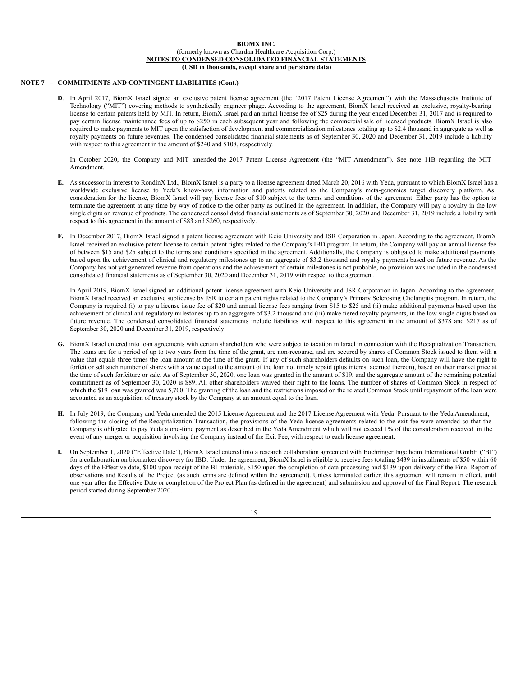### **NOTE 7 – COMMITMENTS AND CONTINGENT LIABILITIES (Cont.)**

**D**. In April 2017, BiomX Israel signed an exclusive patent license agreement (the "2017 Patent License Agreement") with the Massachusetts Institute of Technology ("MIT") covering methods to synthetically engineer phage. According to the agreement, BiomX Israel received an exclusive, royalty-bearing license to certain patents held by MIT. In return, BiomX Israel paid an initial license fee of \$25 during the year ended December 31, 2017 and is required to pay certain license maintenance fees of up to \$250 in each subsequent year and following the commercial sale of licensed products. BiomX Israel is also required to make payments to MIT upon the satisfaction of development and commercialization milestones totaling up to \$2.4 thousand in aggregate as well as royalty payments on future revenues. The condensed consolidated financial statements as of September 30, 2020 and December 31, 2019 include a liability with respect to this agreement in the amount of \$240 and \$108, respectively.

In October 2020, the Company and MIT amended the 2017 Patent License Agreement (the "MIT Amendment"). See note 11B regarding the MIT Amendment.

- **E.** As successor in interest to RondinX Ltd., BiomX Israel is a party to a license agreement dated March 20, 2016 with Yeda, pursuant to which BiomX Israel has a worldwide exclusive license to Yeda's know-how, information and patents related to the Company's meta-genomics target discovery platform. As consideration for the license, BiomX Israel will pay license fees of \$10 subject to the terms and conditions of the agreement. Either party has the option to terminate the agreement at any time by way of notice to the other party as outlined in the agreement. In addition, the Company will pay a royalty in the low single digits on revenue of products. The condensed consolidated financial statements as of September 30, 2020 and December 31, 2019 include a liability with respect to this agreement in the amount of \$83 and \$260, respectively.
- **F.** In December 2017, BiomX Israel signed a patent license agreement with Keio University and JSR Corporation in Japan. According to the agreement, BiomX Israel received an exclusive patent license to certain patent rights related to the Company's IBD program. In return, the Company will pay an annual license fee of between \$15 and \$25 subject to the terms and conditions specified in the agreement. Additionally, the Company is obligated to make additional payments based upon the achievement of clinical and regulatory milestones up to an aggregate of \$3.2 thousand and royalty payments based on future revenue. As the Company has not yet generated revenue from operations and the achievement of certain milestones is not probable, no provision was included in the condensed consolidated financial statements as of September 30, 2020 and December 31, 2019 with respect to the agreement.

In April 2019, BiomX Israel signed an additional patent license agreement with Keio University and JSR Corporation in Japan. According to the agreement, BiomX Israel received an exclusive sublicense by JSR to certain patent rights related to the Company's Primary Sclerosing Cholangitis program. In return, the Company is required (i) to pay a license issue fee of \$20 and annual license fees ranging from \$15 to \$25 and (ii) make additional payments based upon the achievement of clinical and regulatory milestones up to an aggregate of \$3.2 thousand and (iii) make tiered royalty payments, in the low single digits based on future revenue. The condensed consolidated financial statements include liabilities with respect to this agreement in the amount of \$378 and \$217 as of September 30, 2020 and December 31, 2019, respectively.

- **G.** BiomX Israel entered into loan agreements with certain shareholders who were subject to taxation in Israel in connection with the Recapitalization Transaction. The loans are for a period of up to two years from the time of the grant, are non-recourse, and are secured by shares of Common Stock issued to them with a value that equals three times the loan amount at the time of the grant. If any of such shareholders defaults on such loan, the Company will have the right to forfeit or sell such number of shares with a value equal to the amount of the loan not timely repaid (plus interest accrued thereon), based on their market price at the time of such forfeiture or sale. As of September 30, 2020, one loan was granted in the amount of \$19, and the aggregate amount of the remaining potential commitment as of September 30, 2020 is \$89. All other shareholders waived their right to the loans. The number of shares of Common Stock in respect of which the \$19 loan was granted was 5,700. The granting of the loan and the restrictions imposed on the related Common Stock until repayment of the loan were accounted as an acquisition of treasury stock by the Company at an amount equal to the loan.
- **H.** In July 2019, the Company and Yeda amended the 2015 License Agreement and the 2017 License Agreement with Yeda. Pursuant to the Yeda Amendment, following the closing of the Recapitalization Transaction, the provisions of the Yeda license agreements related to the exit fee were amended so that the Company is obligated to pay Yeda a one-time payment as described in the Yeda Amendment which will not exceed 1% of the consideration received in the event of any merger or acquisition involving the Company instead of the Exit Fee, with respect to each license agreement.
- **I.** On September 1, 2020 ("Effective Date"), BiomX Israel entered into a research collaboration agreement with Boehringer Ingelheim International GmbH ("BI") for a collaboration on biomarker discovery for IBD. Under the agreement, BiomX Israel is eligible to receive fees totaling \$439 in installments of \$50 within 60 days of the Effective date, \$100 upon receipt of the BI materials, \$150 upon the completion of data processing and \$139 upon delivery of the Final Report of observations and Results of the Project (as such terms are defined within the agreement). Unless terminated earlier, this agreement will remain in effect, until one year after the Effective Date or completion of the Project Plan (as defined in the agreement) and submission and approval of the Final Report. The research period started during September 2020.

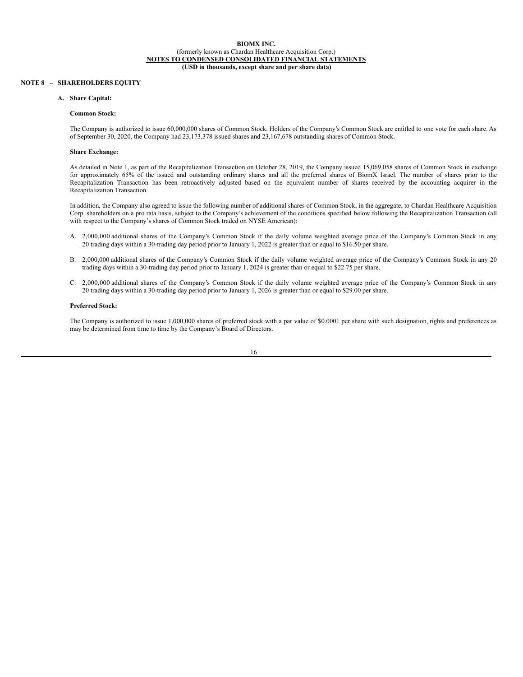### **NOTE 8 – SHAREHOLDERS EQUITY**

### **A. Share Capital:**

#### **Common Stock:**

The Company is authorized to issue 60,000,000 shares of Common Stock. Holders of the Company's Common Stock are entitled to one vote for each share. As of September 30, 2020, the Company had 23,173,378 issued shares and 23,167,678 outstanding shares of Common Stock.

#### **Share Exchange:**

As detailed in Note 1, as part of the Recapitalization Transaction on October 28, 2019, the Company issued 15,069,058 shares of Common Stock in exchange for approximately 65% of the issued and outstanding ordinary shares and all the preferred shares of BiomX Israel. The number of shares prior to the Recapitalization Transaction has been retroactively adjusted based on the equivalent number of shares received by the accounting acquirer in the Recapitalization Transaction.

In addition, the Company also agreed to issue the following number of additional shares of Common Stock, in the aggregate, to Chardan Healthcare Acquisition Corp. shareholders on a pro rata basis, subject to the Company's achievement of the conditions specified below following the Recapitalization Transaction (all with respect to the Company's shares of Common Stock traded on NYSE American):

- A. 2,000,000 additional shares of the Company's Common Stock if the daily volume weighted average price of the Company's Common Stock in any 20 trading days within a 30-trading day period prior to January 1, 2022 is greater than or equal to \$16.50 per share.
- B. 2,000,000 additional shares of the Company's Common Stock if the daily volume weighted average price of the Company's Common Stock in any 20 trading days within a 30-trading day period prior to January 1, 2024 is greater than or equal to \$22.75 per share.
- C. 2,000,000 additional shares of the Company's Common Stock if the daily volume weighted average price of the Company's Common Stock in any 20 trading days within a 30-trading day period prior to January 1, 2026 is greater than or equal to \$29.00 per share.

#### **Preferred Stock:**

The Company is authorized to issue 1,000,000 shares of preferred stock with a par value of \$0.0001 per share with such designation, rights and preferences as may be determined from time to time by the Company's Board of Directors.

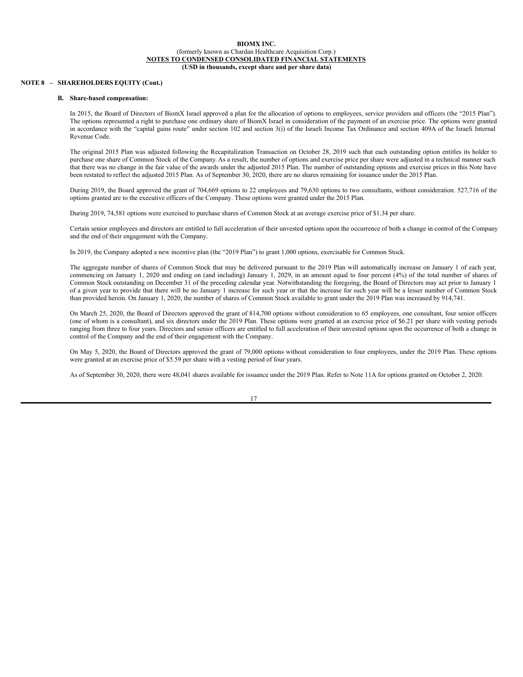### **NOTE 8 – SHAREHOLDERS EQUITY (Cont.)**

### **B. Share-based compensation:**

In 2015, the Board of Directors of BiomX Israel approved a plan for the allocation of options to employees, service providers and officers (the "2015 Plan"). The options represented a right to purchase one ordinary share of BiomX Israel in consideration of the payment of an exercise price. The options were granted in accordance with the "capital gains route" under section 102 and section 3(i) of the Israeli Income Tax Ordinance and section 409A of the Israeli Internal Revenue Code.

The original 2015 Plan was adjusted following the Recapitalization Transaction on October 28, 2019 such that each outstanding option entitles its holder to purchase one share of Common Stock of the Company. As a result, the number of options and exercise price per share were adjusted in a technical manner such that there was no change in the fair value of the awards under the adjusted 2015 Plan. The number of outstanding options and exercise prices in this Note have been restated to reflect the adjusted 2015 Plan. As of September 30, 2020, there are no shares remaining for issuance under the 2015 Plan.

During 2019, the Board approved the grant of 704,669 options to 22 employees and 79,630 options to two consultants, without consideration. 527,716 of the options granted are to the executive officers of the Company. These options were granted under the 2015 Plan.

During 2019, 74,581 options were exercised to purchase shares of Common Stock at an average exercise price of \$1.34 per share.

Certain senior employees and directors are entitled to full acceleration of their unvested options upon the occurrence of both a change in control of the Company and the end of their engagement with the Company.

In 2019, the Company adopted a new incentive plan (the "2019 Plan") to grant 1,000 options, exercisable for Common Stock.

The aggregate number of shares of Common Stock that may be delivered pursuant to the 2019 Plan will automatically increase on January 1 of each year, commencing on January 1, 2020 and ending on (and including) January 1, 2029, in an amount equal to four percent (4%) of the total number of shares of Common Stock outstanding on December 31 of the preceding calendar year. Notwithstanding the foregoing, the Board of Directors may act prior to January 1 of a given year to provide that there will be no January 1 increase for such year or that the increase for such year will be a lesser number of Common Stock than provided herein. On January 1, 2020, the number of shares of Common Stock available to grant under the 2019 Plan was increased by 914,741.

On March 25, 2020, the Board of Directors approved the grant of 814,700 options without consideration to 65 employees, one consultant, four senior officers (one of whom is a consultant), and six directors under the 2019 Plan. These options were granted at an exercise price of \$6.21 per share with vesting periods ranging from three to four years. Directors and senior officers are entitled to full acceleration of their unvested options upon the occurrence of both a change in control of the Company and the end of their engagement with the Company.

On May 5, 2020, the Board of Directors approved the grant of 79,000 options without consideration to four employees, under the 2019 Plan. These options were granted at an exercise price of \$5.59 per share with a vesting period of four years.

As of September 30, 2020, there were 48,041 shares available for issuance under the 2019 Plan. Refer to Note 11A for options granted on October 2, 2020.

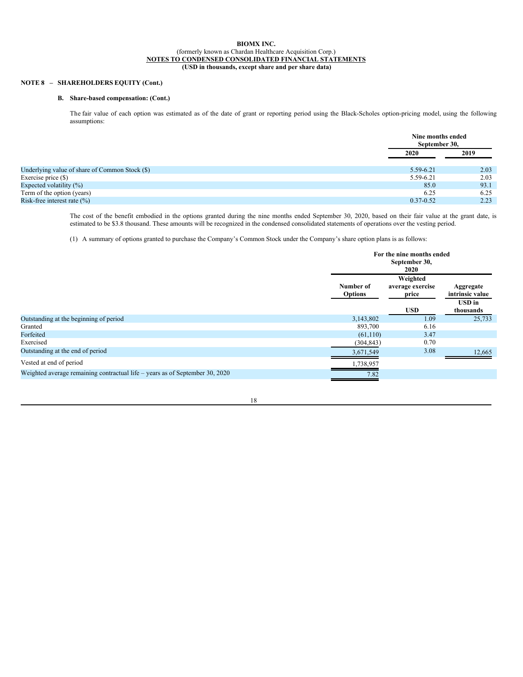# **NOTE 8 – SHAREHOLDERS EQUITY (Cont.)**

# **B. Share-based compensation: (Cont.)**

The fair value of each option was estimated as of the date of grant or reporting period using the Black-Scholes option-pricing model, using the following assumptions:

|                                                |               | Nine months ended<br>September 30, |  |
|------------------------------------------------|---------------|------------------------------------|--|
|                                                | 2020          | 2019                               |  |
| Underlying value of share of Common Stock (\$) | 5.59-6.21     | 2.03                               |  |
| Exercise price (\$)                            | 5.59-6.21     | 2.03                               |  |
| Expected volatility $(\%)$                     | 85.0          | 93.1                               |  |
| Term of the option (years)                     | 6.25          | 6.25                               |  |
| Risk-free interest rate $(\%)$                 | $0.37 - 0.52$ | 2.23                               |  |

The cost of the benefit embodied in the options granted during the nine months ended September 30, 2020, based on their fair value at the grant date, is estimated to be \$3.8 thousand. These amounts will be recognized in the condensed consolidated statements of operations over the vesting period.

(1) A summary of options granted to purchase the Company's Common Stock under the Company's share option plans is as follows:

|                                                                              |                             | For the nine months ended<br>September 30,<br>2020                    |                            |
|------------------------------------------------------------------------------|-----------------------------|-----------------------------------------------------------------------|----------------------------|
|                                                                              | Number of<br><b>Options</b> | Weighted<br>average exercise<br>Aggregate<br>intrinsic value<br>price |                            |
|                                                                              |                             | <b>USD</b>                                                            | <b>USD</b> in<br>thousands |
| Outstanding at the beginning of period                                       | 3,143,802                   | 1.09                                                                  | 25,733                     |
| Granted                                                                      | 893,700                     | 6.16                                                                  |                            |
| Forfeited                                                                    | (61, 110)                   | 3.47                                                                  |                            |
| Exercised                                                                    | (304, 843)                  | 0.70                                                                  |                            |
| Outstanding at the end of period                                             | 3,671,549                   | 3.08                                                                  | 12,665                     |
| Vested at end of period                                                      | 1,738,957                   |                                                                       |                            |
| Weighted average remaining contractual life – years as of September 30, 2020 | 7.82                        |                                                                       |                            |

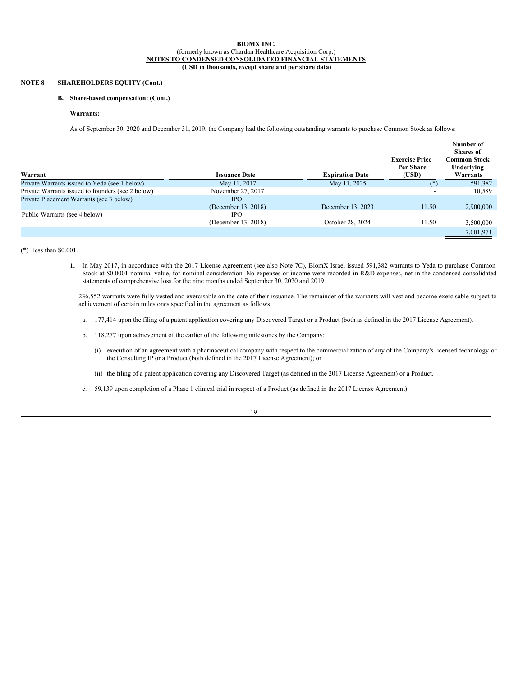# **NOTE 8 – SHAREHOLDERS EQUITY (Cont.)**

# **B. Share-based compensation: (Cont.)**

### **Warrants:**

As of September 30, 2020 and December 31, 2019, the Company had the following outstanding warrants to purchase Common Stock as follows:

| Warrant                                           | <b>Issuance Date</b> | <b>Expiration Date</b> | <b>Exercise Price</b><br>Per Share<br>(USD) | Number of<br><b>Shares</b> of<br>Common Stock<br>Underlying<br>Warrants |
|---------------------------------------------------|----------------------|------------------------|---------------------------------------------|-------------------------------------------------------------------------|
| Private Warrants issued to Yeda (see 1 below)     | May 11, 2017         | May 11, 2025           | (*)                                         | 591,382                                                                 |
| Private Warrants issued to founders (see 2 below) | November 27, 2017    |                        | -                                           | 10,589                                                                  |
| Private Placement Warrants (see 3 below)          | <b>IPO</b>           |                        |                                             |                                                                         |
|                                                   | (December 13, 2018)  | December 13, 2023      | 11.50                                       | 2,900,000                                                               |
| Public Warrants (see 4 below)                     | IPO                  |                        |                                             |                                                                         |
|                                                   | (December 13, 2018)  | October 28, 2024       | 11.50                                       | 3,500,000                                                               |
|                                                   |                      |                        |                                             | 7.001.971                                                               |

(\*) less than \$0.001.

**1.** In May 2017, in accordance with the 2017 License Agreement (see also Note 7C), BiomX Israel issued 591,382 warrants to Yeda to purchase Common Stock at \$0.0001 nominal value, for nominal consideration. No expenses or income were recorded in R&D expenses, net in the condensed consolidated statements of comprehensive loss for the nine months ended September 30, 2020 and 2019.

236,552 warrants were fully vested and exercisable on the date of their issuance. The remainder of the warrants will vest and become exercisable subject to achievement of certain milestones specified in the agreement as follows:

- a. 177,414 upon the filing of a patent application covering any Discovered Target or a Product (both as defined in the 2017 License Agreement).
- b. 118,277 upon achievement of the earlier of the following milestones by the Company:
	- (i) execution of an agreement with a pharmaceutical company with respect to the commercialization of any of the Company's licensed technology or the Consulting IP or a Product (both defined in the 2017 License Agreement); or
	- (ii) the filing of a patent application covering any Discovered Target (as defined in the 2017 License Agreement) or a Product.
- c. 59,139 upon completion of a Phase 1 clinical trial in respect of a Product (as defined in the 2017 License Agreement).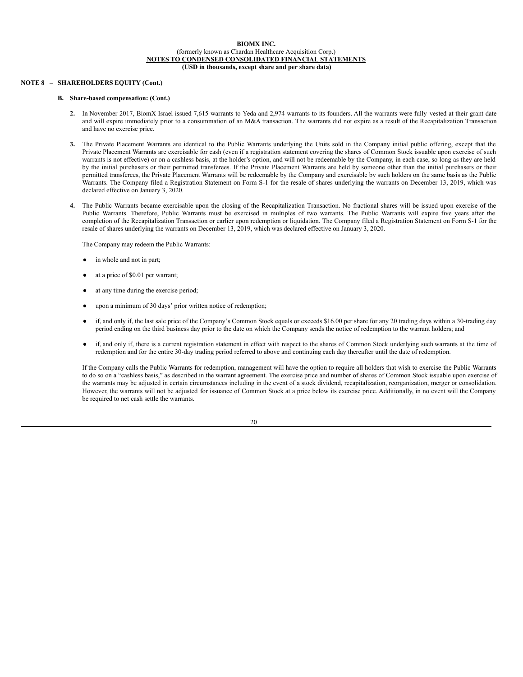### **NOTE 8 – SHAREHOLDERS EQUITY (Cont.)**

# **B. Share-based compensation: (Cont.)**

- **2.** In November 2017, BiomX Israel issued 7,615 warrants to Yeda and 2,974 warrants to its founders. All the warrants were fully vested at their grant date and will expire immediately prior to a consummation of an M&A transaction. The warrants did not expire as a result of the Recapitalization Transaction and have no exercise price.
- **3.** The Private Placement Warrants are identical to the Public Warrants underlying the Units sold in the Company initial public offering, except that the Private Placement Warrants are exercisable for cash (even if a registration statement covering the shares of Common Stock issuable upon exercise of such warrants is not effective) or on a cashless basis, at the holder's option, and will not be redeemable by the Company, in each case, so long as they are held by the initial purchasers or their permitted transferees. If the Private Placement Warrants are held by someone other than the initial purchasers or their permitted transferees, the Private Placement Warrants will be redeemable by the Company and exercisable by such holders on the same basis as the Public Warrants. The Company filed a Registration Statement on Form S-1 for the resale of shares underlying the warrants on December 13, 2019, which was declared effective on January 3, 2020.
- **4.** The Public Warrants became exercisable upon the closing of the Recapitalization Transaction. No fractional shares will be issued upon exercise of the Public Warrants. Therefore, Public Warrants must be exercised in multiples of two warrants. The Public Warrants will expire five years after the completion of the Recapitalization Transaction or earlier upon redemption or liquidation. The Company filed a Registration Statement on Form S-1 for the resale of shares underlying the warrants on December 13, 2019, which was declared effective on January 3, 2020.

The Company may redeem the Public Warrants:

- in whole and not in part;
- at a price of \$0.01 per warrant;
- at any time during the exercise period;
- upon a minimum of 30 days' prior written notice of redemption;
- if, and only if, the last sale price of the Company's Common Stock equals or exceeds \$16.00 per share for any 20 trading days within a 30-trading day period ending on the third business day prior to the date on which the Company sends the notice of redemption to the warrant holders; and
- if, and only if, there is a current registration statement in effect with respect to the shares of Common Stock underlying such warrants at the time of redemption and for the entire 30-day trading period referred to above and continuing each day thereafter until the date of redemption.

If the Company calls the Public Warrants for redemption, management will have the option to require all holders that wish to exercise the Public Warrants to do so on a "cashless basis," as described in the warrant agreement. The exercise price and number of shares of Common Stock issuable upon exercise of the warrants may be adjusted in certain circumstances including in the event of a stock dividend, recapitalization, reorganization, merger or consolidation. However, the warrants will not be adjusted for issuance of Common Stock at a price below its exercise price. Additionally, in no event will the Company be required to net cash settle the warrants.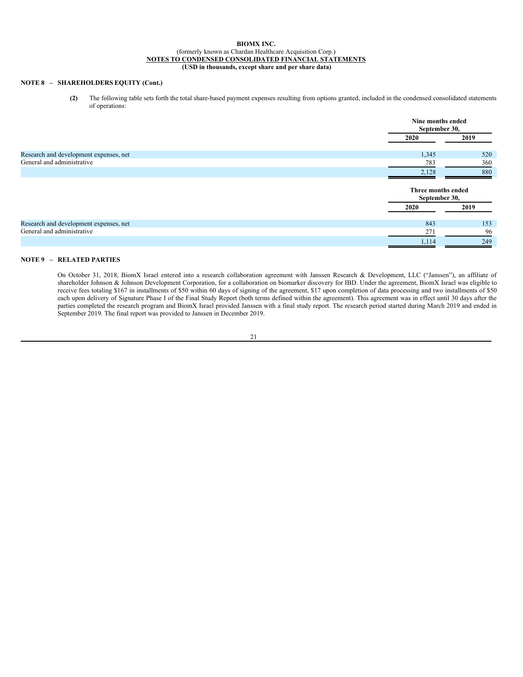# **NOTE 8 – SHAREHOLDERS EQUITY (Cont.)**

**(2)** The following table sets forth the total share-based payment expenses resulting from options granted, included in the condensed consolidated statements of operations:

|                                        | Nine months ended<br>September 30,  |      |
|----------------------------------------|-------------------------------------|------|
|                                        | 2020                                | 2019 |
| Research and development expenses, net | 1,345                               | 520  |
| General and administrative             | 783                                 | 360  |
|                                        | 2,128                               | 880  |
|                                        | Three months ended<br>September 30, |      |
|                                        | 2020                                | 2019 |
| Research and development expenses, net | 843                                 | 153  |
| General and administrative             | 271                                 | 96   |
|                                        | 1,114                               | 249  |

# **NOTE 9 – RELATED PARTIES**

On October 31, 2018, BiomX Israel entered into a research collaboration agreement with Janssen Research & Development, LLC ("Janssen"), an affiliate of shareholder Johnson & Johnson Development Corporation, for a collaboration on biomarker discovery for IBD. Under the agreement, BiomX Israel was eligible to receive fees totaling \$167 in installments of \$50 within 60 days of signing of the agreement, \$17 upon completion of data processing and two installments of \$50 each upon delivery of Signature Phase I of the Final Study Report (both terms defined within the agreement). This agreement was in effect until 30 days after the parties completed the research program and BiomX Israel provided Janssen with a final study report. The research period started during March 2019 and ended in September 2019. The final report was provided to Janssen in December 2019.

21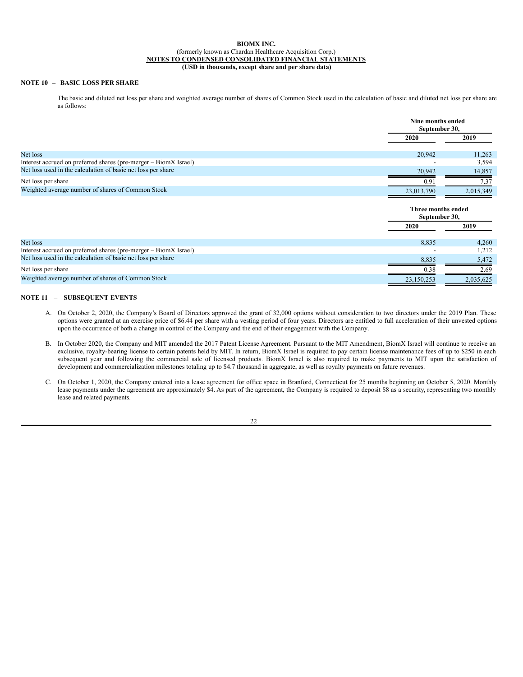# **NOTE 10 – BASIC LOSS PER SHARE**

The basic and diluted net loss per share and weighted average number of shares of Common Stock used in the calculation of basic and diluted net loss per share are as follows:

|                                                                  |                                     | Nine months ended<br>September 30, |  |
|------------------------------------------------------------------|-------------------------------------|------------------------------------|--|
|                                                                  | 2020                                | 2019                               |  |
| Net loss                                                         | 20,942                              | 11,263                             |  |
| Interest accrued on preferred shares (pre-merger – BiomX Israel) |                                     | 3,594                              |  |
| Net loss used in the calculation of basic net loss per share     | 20,942                              | 14,857                             |  |
| Net loss per share                                               | 0.91                                | 7.37                               |  |
| Weighted average number of shares of Common Stock                |                                     | 2,015,349                          |  |
|                                                                  | 23,013,790                          |                                    |  |
|                                                                  | Three months ended<br>September 30, |                                    |  |
|                                                                  | 2020                                | 2019                               |  |
| Net loss                                                         | 8,835                               | 4,260                              |  |
| Interest accrued on preferred shares (pre-merger – BiomX Israel) |                                     | 1,212                              |  |
| Net loss used in the calculation of basic net loss per share     | 8,835                               | 5,472                              |  |
| Net loss per share                                               | 0.38                                | 2.69                               |  |

### **NOTE 11 – SUBSEQUENT EVENTS**

- A. On October 2, 2020, the Company's Board of Directors approved the grant of 32,000 options without consideration to two directors under the 2019 Plan. These options were granted at an exercise price of \$6.44 per share with a vesting period of four years. Directors are entitled to full acceleration of their unvested options upon the occurrence of both a change in control of the Company and the end of their engagement with the Company.
- B. In October 2020, the Company and MIT amended the 2017 Patent License Agreement. Pursuant to the MIT Amendment, BiomX Israel will continue to receive an exclusive, royalty-bearing license to certain patents held by MIT. In return, BiomX Israel is required to pay certain license maintenance fees of up to \$250 in each subsequent year and following the commercial sale of licensed products. BiomX Israel is also required to make payments to MIT upon the satisfaction of development and commercialization milestones totaling up to \$4.7 thousand in aggregate, as well as royalty payments on future revenues.
- C. On October 1, 2020, the Company entered into a lease agreement for office space in Branford, Connecticut for 25 months beginning on October 5, 2020. Monthly lease payments under the agreement are approximately \$4. As part of the agreement, the Company is required to deposit \$8 as a security, representing two monthly lease and related payments.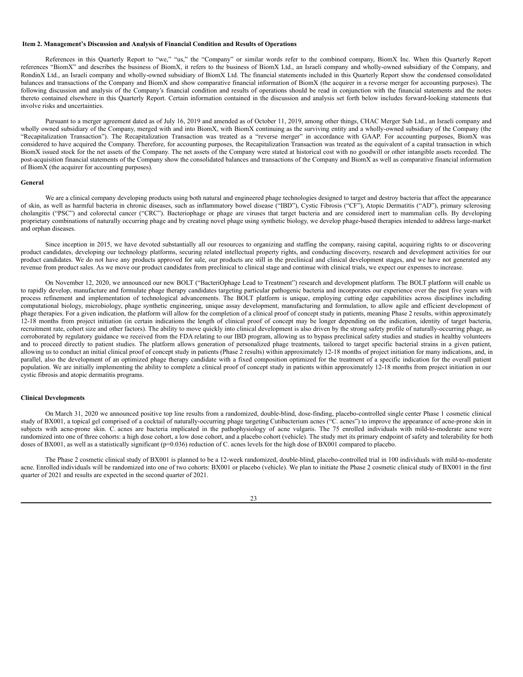#### <span id="page-26-0"></span>**Item 2. Management's Discussion and Analysis of Financial Condition and Results of Operations**

References in this Quarterly Report to "we," "us," the "Company" or similar words refer to the combined company, BiomX Inc. When this Quarterly Report references "BiomX" and describes the business of BiomX, it refers to the business of BiomX Ltd., an Israeli company and wholly-owned subsidiary of the Company, and RondinX Ltd., an Israeli company and wholly-owned subsidiary of BiomX Ltd. The financial statements included in this Quarterly Report show the condensed consolidated balances and transactions of the Company and BiomX and show comparative financial information of BiomX (the acquirer in a reverse merger for accounting purposes). The following discussion and analysis of the Company's financial condition and results of operations should be read in conjunction with the financial statements and the notes thereto contained elsewhere in this Quarterly Report. Certain information contained in the discussion and analysis set forth below includes forward-looking statements that involve risks and uncertainties.

Pursuant to a merger agreement dated as of July 16, 2019 and amended as of October 11, 2019, among other things, CHAC Merger Sub Ltd., an Israeli company and wholly owned subsidiary of the Company, merged with and into BiomX, with BiomX continuing as the surviving entity and a wholly-owned subsidiary of the Company (the "Recapitalization Transaction"). The Recapitalization Transaction was treated as a "reverse merger" in accordance with GAAP. For accounting purposes, BiomX was considered to have acquired the Company. Therefore, for accounting purposes, the Recapitalization Transaction was treated as the equivalent of a capital transaction in which BiomX issued stock for the net assets of the Company. The net assets of the Company were stated at historical cost with no goodwill or other intangible assets recorded. The post-acquisition financial statements of the Company show the consolidated balances and transactions of the Company and BiomX as well as comparative financial information of BiomX (the acquirer for accounting purposes).

### **General**

We are a clinical company developing products using both natural and engineered phage technologies designed to target and destroy bacteria that affect the appearance of skin, as well as harmful bacteria in chronic diseases, such as inflammatory bowel disease ("IBD"), Cystic Fibrosis ("CF"), Atopic Dermatitis ("AD"), primary sclerosing cholangitis ("PSC") and colorectal cancer ("CRC"). Bacteriophage or phage are viruses that target bacteria and are considered inert to mammalian cells. By developing proprietary combinations of naturally occurring phage and by creating novel phage using synthetic biology, we develop phage-based therapies intended to address large-market and orphan diseases.

Since inception in 2015, we have devoted substantially all our resources to organizing and staffing the company, raising capital, acquiring rights to or discovering product candidates, developing our technology platforms, securing related intellectual property rights, and conducting discovery, research and development activities for our product candidates. We do not have any products approved for sale, our products are still in the preclinical and clinical development stages, and we have not generated any revenue from product sales. As we move our product candidates from preclinical to clinical stage and continue with clinical trials, we expect our expenses to increase.

On November 12, 2020, we announced our new BOLT ("BacteriOphage Lead to Treatment") research and development platform. The BOLT platform will enable us to rapidly develop, manufacture and formulate phage therapy candidates targeting particular pathogenic bacteria and incorporates our experience over the past five years with process refinement and implementation of technological advancements. The BOLT platform is unique, employing cutting edge capabilities across disciplines including computational biology, microbiology, phage synthetic engineering, unique assay development, manufacturing and formulation, to allow agile and efficient development of phage therapies. For a given indication, the platform will allow for the completion of a clinical proof of concept study in patients, meaning Phase 2 results, within approximately 12-18 months from project initiation (in certain indications the length of clinical proof of concept may be longer depending on the indication, identity of target bacteria, recruitment rate, cohort size and other factors). The ability to move quickly into clinical development is also driven by the strong safety profile of naturally-occurring phage, as corroborated by regulatory guidance we received from the FDA relating to our IBD program, allowing us to bypass preclinical safety studies and studies in healthy volunteers and to proceed directly to patient studies. The platform allows generation of personalized phage treatments, tailored to target specific bacterial strains in a given patient, allowing us to conduct an initial clinical proof of concept study in patients (Phase 2 results) within approximately 12-18 months of project initiation for many indications, and, in parallel, also the development of an optimized phage therapy candidate with a fixed composition optimized for the treatment of a specific indication for the overall patient population. We are initially implementing the ability to complete a clinical proof of concept study in patients within approximately 12-18 months from project initiation in our cystic fibrosis and atopic dermatitis programs.

### **Clinical Developments**

On March 31, 2020 we announced positive top line results from a randomized, double-blind, dose-finding, placebo-controlled single center Phase 1 cosmetic clinical study of BX001, a topical gel comprised of a cocktail of naturally-occurring phage targeting Cutibacterium acnes ("C. acnes") to improve the appearance of acne-prone skin in subjects with acne-prone skin. C. acnes are bacteria implicated in the pathophysiology of acne vulgaris. The 75 enrolled individuals with mild-to-moderate acne were randomized into one of three cohorts: a high dose cohort, a low dose cohort, and a placebo cohort (vehicle). The study met its primary endpoint of safety and tolerability for both doses of BX001, as well as a statistically significant (p=0.036) reduction of C. acnes levels for the high dose of BX001 compared to placebo.

The Phase 2 cosmetic clinical study of BX001 is planned to be a 12-week randomized, double-blind, placebo-controlled trial in 100 individuals with mild-to-moderate acne. Enrolled individuals will be randomized into one of two cohorts: BX001 or placebo (vehicle). We plan to initiate the Phase 2 cosmetic clinical study of BX001 in the first quarter of 2021 and results are expected in the second quarter of 2021.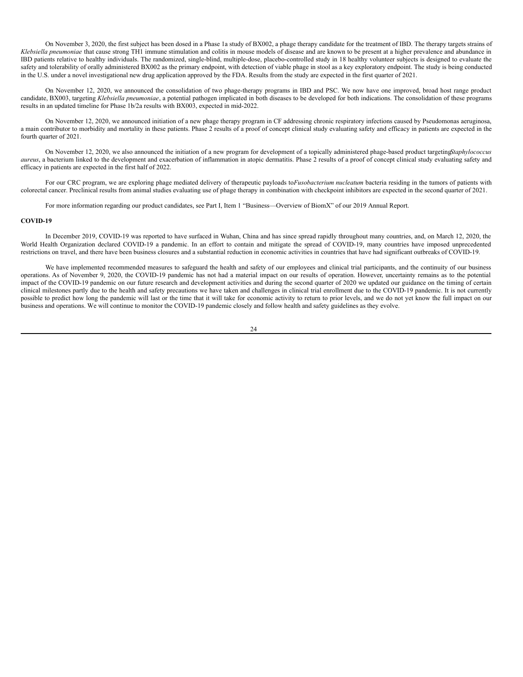On November 3, 2020, the first subject has been dosed in a Phase 1a study of BX002, a phage therapy candidate for the treatment of IBD. The therapy targets strains of *Klebsiella pneumoniae* that cause strong TH1 immune stimulation and colitis in mouse models of disease and are known to be present at a higher prevalence and abundance in IBD patients relative to healthy individuals. The randomized, single-blind, multiple-dose, placebo-controlled study in 18 healthy volunteer subjects is designed to evaluate the safety and tolerability of orally administered BX002 as the primary endpoint, with detection of viable phage in stool as a key exploratory endpoint. The study is being conducted in the U.S. under a novel investigational new drug application approved by the FDA. Results from the study are expected in the first quarter of 2021.

On November 12, 2020, we announced the consolidation of two phage-therapy programs in IBD and PSC. We now have one improved, broad host range product candidate, BX003, targeting *Klebsiella pneumoniae*, a potential pathogen implicated in both diseases to be developed for both indications. The consolidation of these programs results in an updated timeline for Phase 1b/2a results with BX003, expected in mid-2022.

On November 12, 2020, we announced initiation of a new phage therapy program in CF addressing chronic respiratory infections caused by Pseudomonas aeruginosa, a main contributor to morbidity and mortality in these patients. Phase 2 results of a proof of concept clinical study evaluating safety and efficacy in patients are expected in the fourth quarter of 2021.

On November 12, 2020, we also announced the initiation of a new program for development of a topically administered phage-based product targeting*Staphylococcus aureus*, a bacterium linked to the development and exacerbation of inflammation in atopic dermatitis. Phase 2 results of a proof of concept clinical study evaluating safety and efficacy in patients are expected in the first half of 2022.

For our CRC program, we are exploring phage mediated delivery of therapeutic payloads to*Fusobacterium nucleatum* bacteria residing in the tumors of patients with colorectal cancer. Preclinical results from animal studies evaluating use of phage therapy in combination with checkpoint inhibitors are expected in the second quarter of 2021.

For more information regarding our product candidates, see Part I, Item 1 "Business—Overview of BiomX" of our 2019 Annual Report.

### **COVID-19**

In December 2019, COVID-19 was reported to have surfaced in Wuhan, China and has since spread rapidly throughout many countries, and, on March 12, 2020, the World Health Organization declared COVID-19 a pandemic. In an effort to contain and mitigate the spread of COVID-19, many countries have imposed unprecedented restrictions on travel, and there have been business closures and a substantial reduction in economic activities in countries that have had significant outbreaks of COVID-19.

We have implemented recommended measures to safeguard the health and safety of our employees and clinical trial participants, and the continuity of our business operations. As of November 9, 2020, the COVID-19 pandemic has not had a material impact on our results of operation. However, uncertainty remains as to the potential impact of the COVID-19 pandemic on our future research and development activities and during the second quarter of 2020 we updated our guidance on the timing of certain clinical milestones partly due to the health and safety precautions we have taken and challenges in clinical trial enrollment due to the COVID-19 pandemic. It is not currently possible to predict how long the pandemic will last or the time that it will take for economic activity to return to prior levels, and we do not yet know the full impact on our business and operations. We will continue to monitor the COVID-19 pandemic closely and follow health and safety guidelines as they evolve.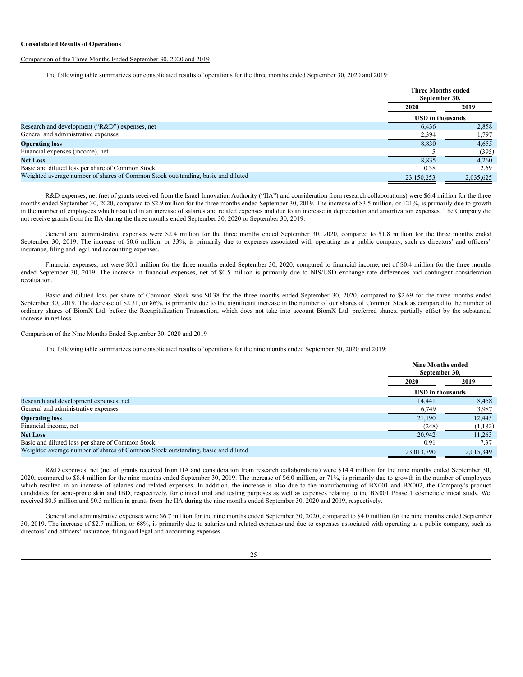#### **Consolidated Results of Operations**

### Comparison of the Three Months Ended September 30, 2020 and 2019

The following table summarizes our consolidated results of operations for the three months ended September 30, 2020 and 2019:

|                                                                                  |                         | <b>Three Months ended</b><br>September 30, |  |
|----------------------------------------------------------------------------------|-------------------------|--------------------------------------------|--|
|                                                                                  | 2020                    | 2019                                       |  |
|                                                                                  | <b>USD</b> in thousands |                                            |  |
| Research and development ("R&D") expenses, net                                   | 6.436                   | 2,858                                      |  |
| General and administrative expenses                                              | 2,394                   | 1,797                                      |  |
| <b>Operating loss</b>                                                            | 8,830                   | 4,655                                      |  |
| Financial expenses (income), net                                                 |                         | (395)                                      |  |
| <b>Net Loss</b>                                                                  | 8,835                   | 4.260                                      |  |
| Basic and diluted loss per share of Common Stock                                 | 0.38                    | 2.69                                       |  |
| Weighted average number of shares of Common Stock outstanding, basic and diluted | 23,150,253              | 2,035,625                                  |  |

R&D expenses, net (net of grants received from the Israel Innovation Authority ("IIA") and consideration from research collaborations) were \$6.4 million for the three months ended September 30, 2020, compared to \$2.9 million for the three months ended September 30, 2019. The increase of \$3.5 million, or 121%, is primarily due to growth in the number of employees which resulted in an increase of salaries and related expenses and due to an increase in depreciation and amortization expenses. The Company did not receive grants from the IIA during the three months ended September 30, 2020 or September 30, 2019.

General and administrative expenses were \$2.4 million for the three months ended September 30, 2020, compared to \$1.8 million for the three months ended September 30, 2019. The increase of \$0.6 million, or 33%, is primarily due to expenses associated with operating as a public company, such as directors' and officers' insurance, filing and legal and accounting expenses.

Financial expenses, net were \$0.1 million for the three months ended September 30, 2020, compared to financial income, net of \$0.4 million for the three months ended September 30, 2019. The increase in financial expenses, net of \$0.5 million is primarily due to NIS/USD exchange rate differences and contingent consideration revaluation.

Basic and diluted loss per share of Common Stock was \$0.38 for the three months ended September 30, 2020, compared to \$2.69 for the three months ended September 30, 2019. The decrease of \$2.31, or 86%, is primarily due to the significant increase in the number of our shares of Common Stock as compared to the number of ordinary shares of BiomX Ltd. before the Recapitalization Transaction, which does not take into account BiomX Ltd. preferred shares, partially offset by the substantial increase in net loss.

### Comparison of the Nine Months Ended September 30, 2020 and 2019

The following table summarizes our consolidated results of operations for the nine months ended September 30, 2020 and 2019:

|                                                                                  | <b>Nine Months ended</b><br>September 30, |           |
|----------------------------------------------------------------------------------|-------------------------------------------|-----------|
|                                                                                  | <b>2020</b>                               | 2019      |
|                                                                                  | <b>USD</b> in thousands                   |           |
| Research and development expenses, net                                           | 14.441                                    | 8,458     |
| General and administrative expenses                                              | 6,749                                     | 3,987     |
| <b>Operating loss</b>                                                            | 21,190                                    | 12,445    |
| Financial income, net                                                            | (248)                                     | (1,182)   |
| <b>Net Loss</b>                                                                  | 20.942                                    | 11.263    |
| Basic and diluted loss per share of Common Stock                                 | 0.91                                      | 7.37      |
| Weighted average number of shares of Common Stock outstanding, basic and diluted | 23,013,790                                | 2,015,349 |

R&D expenses, net (net of grants received from IIA and consideration from research collaborations) were \$14.4 million for the nine months ended September 30, 2020, compared to \$8.4 million for the nine months ended September 30, 2019. The increase of \$6.0 million, or 71%, is primarily due to growth in the number of employees which resulted in an increase of salaries and related expenses. In addition, the increase is also due to the manufacturing of BX001 and BX002, the Company's product candidates for acne-prone skin and IBD, respectively, for clinical trial and testing purposes as well as expenses relating to the BX001 Phase 1 cosmetic clinical study. We received \$0.5 million and \$0.3 million in grants from the IIA during the nine months ended September 30, 2020 and 2019, respectively.

General and administrative expenses were \$6.7 million for the nine months ended September 30, 2020, compared to \$4.0 million for the nine months ended September 30, 2019. The increase of \$2.7 million, or 68%, is primarily due to salaries and related expenses and due to expenses associated with operating as a public company, such as directors' and officers' insurance, filing and legal and accounting expenses.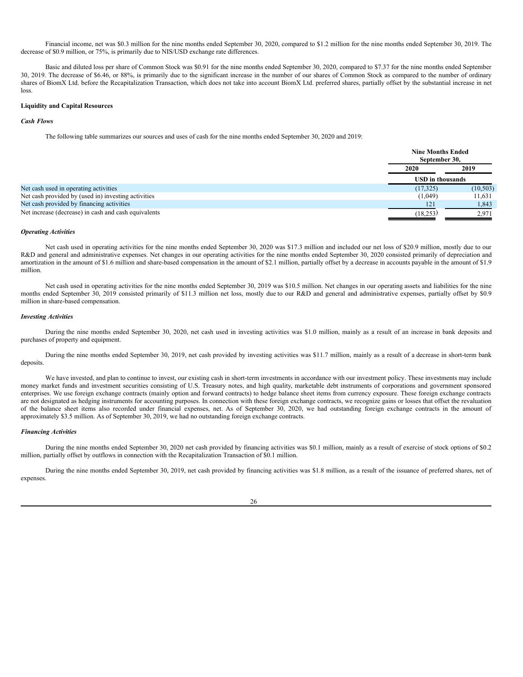Financial income, net was \$0.3 million for the nine months ended September 30, 2020, compared to \$1.2 million for the nine months ended September 30, 2019. The decrease of \$0.9 million, or 75%, is primarily due to NIS/USD exchange rate differences.

Basic and diluted loss per share of Common Stock was \$0.91 for the nine months ended September 30, 2020, compared to \$7.37 for the nine months ended September 30, 2019. The decrease of \$6.46, or 88%, is primarily due to the significant increase in the number of our shares of Common Stock as compared to the number of ordinary shares of BiomX Ltd. before the Recapitalization Transaction, which does not take into account BiomX Ltd. preferred shares, partially offset by the substantial increase in net loss.

### **Liquidity and Capital Resources**

#### *Cash Flows*

The following table summarizes our sources and uses of cash for the nine months ended September 30, 2020 and 2019:

|                                                      |           | <b>Nine Months Ended</b><br>September 30, |  |
|------------------------------------------------------|-----------|-------------------------------------------|--|
|                                                      | 2020      | 2019                                      |  |
|                                                      |           | <b>USD</b> in thousands                   |  |
| Net cash used in operating activities                | (17, 325) | (10, 503)                                 |  |
| Net cash provided by (used in) investing activities  | (1,049)   | 11,631                                    |  |
| Net cash provided by financing activities            | 121       | 1,843                                     |  |
| Net increase (decrease) in cash and cash equivalents | (18, 253) | 2,971                                     |  |

#### *Operating Activities*

Net cash used in operating activities for the nine months ended September 30, 2020 was \$17.3 million and included our net loss of \$20.9 million, mostly due to our R&D and general and administrative expenses. Net changes in our operating activities for the nine months ended September 30, 2020 consisted primarily of depreciation and amortization in the amount of \$1.6 million and share-based compensation in the amount of \$2.1 million, partially offset by a decrease in accounts payable in the amount of \$1.9 million.

Net cash used in operating activities for the nine months ended September 30, 2019 was \$10.5 million. Net changes in our operating assets and liabilities for the nine months ended September 30, 2019 consisted primarily of \$11.3 million net loss, mostly due to our R&D and general and administrative expenses, partially offset by \$0.9 million in share-based compensation.

# *Investing Activities*

During the nine months ended September 30, 2020, net cash used in investing activities was \$1.0 million, mainly as a result of an increase in bank deposits and purchases of property and equipment.

During the nine months ended September 30, 2019, net cash provided by investing activities was \$11.7 million, mainly as a result of a decrease in short-term bank deposits.

We have invested, and plan to continue to invest, our existing cash in short-term investments in accordance with our investment policy. These investments may include money market funds and investment securities consisting of U.S. Treasury notes, and high quality, marketable debt instruments of corporations and government sponsored enterprises. We use foreign exchange contracts (mainly option and forward contracts) to hedge balance sheet items from currency exposure. These foreign exchange contracts are not designated as hedging instruments for accounting purposes. In connection with these foreign exchange contracts, we recognize gains or losses that offset the revaluation of the balance sheet items also recorded under financial expenses, net. As of September 30, 2020, we had outstanding foreign exchange contracts in the amount of approximately \$3.5 million. As of September 30, 2019, we had no outstanding foreign exchange contracts.

#### *Financing Activities*

During the nine months ended September 30, 2020 net cash provided by financing activities was \$0.1 million, mainly as a result of exercise of stock options of \$0.2 million, partially offset by outflows in connection with the Recapitalization Transaction of \$0.1 million.

During the nine months ended September 30, 2019, net cash provided by financing activities was \$1.8 million, as a result of the issuance of preferred shares, net of expenses.

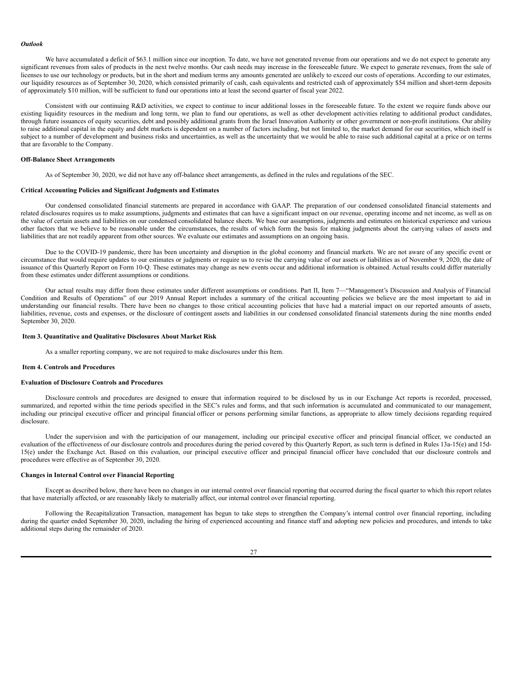#### *Outlook*

We have accumulated a deficit of \$63.1 million since our inception. To date, we have not generated revenue from our operations and we do not expect to generate any significant revenues from sales of products in the next twelve months. Our cash needs may increase in the foreseeable future. We expect to generate revenues, from the sale of licenses to use our technology or products, but in the short and medium terms any amounts generated are unlikely to exceed our costs of operations. According to our estimates, our liquidity resources as of September 30, 2020, which consisted primarily of cash, cash equivalents and restricted cash of approximately \$54 million and short-term deposits of approximately \$10 million, will be sufficient to fund our operations into at least the second quarter of fiscal year 2022.

Consistent with our continuing R&D activities, we expect to continue to incur additional losses in the foreseeable future. To the extent we require funds above our existing liquidity resources in the medium and long term, we plan to fund our operations, as well as other development activities relating to additional product candidates, through future issuances of equity securities, debt and possibly additional grants from the Israel Innovation Authority or other government or non-profit institutions. Our ability to raise additional capital in the equity and debt markets is dependent on a number of factors including, but not limited to, the market demand for our securities, which itself is subject to a number of development and business risks and uncertainties, as well as the uncertainty that we would be able to raise such additional capital at a price or on terms that are favorable to the Company.

### **Off-Balance Sheet Arrangements**

As of September 30, 2020, we did not have any off-balance sheet arrangements, as defined in the rules and regulations of the SEC.

### **Critical Accounting Policies and Significant Judgments and Estimates**

Our condensed consolidated financial statements are prepared in accordance with GAAP. The preparation of our condensed consolidated financial statements and related disclosures requires us to make assumptions, judgments and estimates that can have a significant impact on our revenue, operating income and net income, as well as on the value of certain assets and liabilities on our condensed consolidated balance sheets. We base our assumptions, judgments and estimates on historical experience and various other factors that we believe to be reasonable under the circumstances, the results of which form the basis for making judgments about the carrying values of assets and liabilities that are not readily apparent from other sources. We evaluate our estimates and assumptions on an ongoing basis.

Due to the COVID-19 pandemic, there has been uncertainty and disruption in the global economy and financial markets. We are not aware of any specific event or circumstance that would require updates to our estimates or judgments or require us to revise the carrying value of our assets or liabilities as of November 9, 2020, the date of issuance of this Quarterly Report on Form 10-Q. These estimates may change as new events occur and additional information is obtained. Actual results could differ materially from these estimates under different assumptions or conditions.

Our actual results may differ from these estimates under different assumptions or conditions. Part II, Item 7—"Management's Discussion and Analysis of Financial Condition and Results of Operations" of our 2019 Annual Report includes a summary of the critical accounting policies we believe are the most important to aid in understanding our financial results. There have been no changes to those critical accounting policies that have had a material impact on our reported amounts of assets, liabilities, revenue, costs and expenses, or the disclosure of contingent assets and liabilities in our condensed consolidated financial statements during the nine months ended September 30, 2020.

### <span id="page-30-0"></span>**Item 3. Quantitative and Qualitative Disclosures About Market Risk**

As a smaller reporting company, we are not required to make disclosures under this Item.

#### <span id="page-30-1"></span>**Item 4. Controls and Procedures**

### **Evaluation of Disclosure Controls and Procedures**

Disclosure controls and procedures are designed to ensure that information required to be disclosed by us in our Exchange Act reports is recorded, processed, summarized, and reported within the time periods specified in the SEC's rules and forms, and that such information is accumulated and communicated to our management, including our principal executive officer and principal financial officer or persons performing similar functions, as appropriate to allow timely decisions regarding required disclosure.

Under the supervision and with the participation of our management, including our principal executive officer and principal financial officer, we conducted an evaluation of the effectiveness of our disclosure controls and procedures during the period covered by this Quarterly Report, as such term is defined in Rules 13a-15(e) and 15d-15(e) under the Exchange Act. Based on this evaluation, our principal executive officer and principal financial officer have concluded that our disclosure controls and procedures were effective as of September 30, 2020.

### **Changes in Internal Control over Financial Reporting**

Except as described below, there have been no changes in our internal control over financial reporting that occurred during the fiscal quarter to which this report relates that have materially affected, or are reasonably likely to materially affect, our internal control over financial reporting.

Following the Recapitalization Transaction, management has begun to take steps to strengthen the Company's internal control over financial reporting, including during the quarter ended September 30, 2020, including the hiring of experienced accounting and finance staff and adopting new policies and procedures, and intends to take additional steps during the remainder of 2020.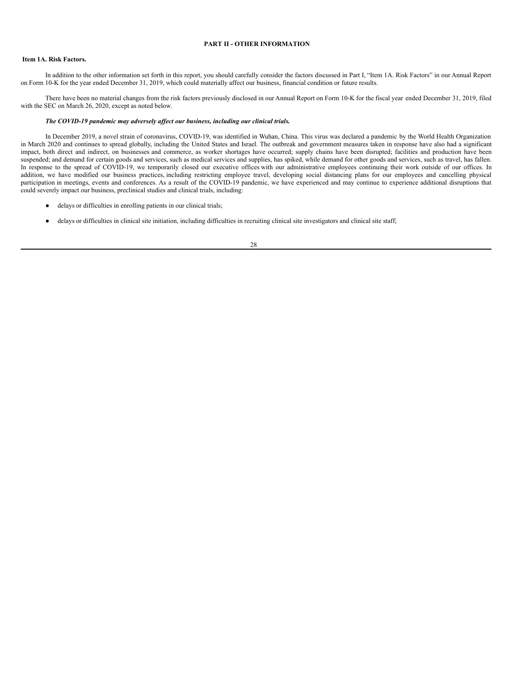### <span id="page-31-0"></span>**PART II - OTHER INFORMATION**

### <span id="page-31-1"></span>**Item 1A. Risk Factors.**

In addition to the other information set forth in this report, you should carefully consider the factors discussed in Part I, "Item 1A. Risk Factors" in our Annual Report on Form 10-K for the year ended December 31, 2019, which could materially affect our business, financial condition or future results.

There have been no material changes from the risk factors previously disclosed in our Annual Report on Form 10-K for the fiscal year ended December 31, 2019, filed with the SEC on March 26, 2020, except as noted below.

### *The COVID-19 pandemic may adversely af ect our business, including our clinical trials.*

In December 2019, a novel strain of coronavirus, COVID-19, was identified in Wuhan, China. This virus was declared a pandemic by the World Health Organization in March 2020 and continues to spread globally, including the United States and Israel. The outbreak and government measures taken in response have also had a significant impact, both direct and indirect, on businesses and commerce, as worker shortages have occurred; supply chains have been disrupted; facilities and production have been suspended; and demand for certain goods and services, such as medical services and supplies, has spiked, while demand for other goods and services, such as travel, has fallen. In response to the spread of COVID-19, we temporarily closed our executive offices with our administrative employees continuing their work outside of our offices. In addition, we have modified our business practices, including restricting employee travel, developing social distancing plans for our employees and cancelling physical participation in meetings, events and conferences. As a result of the COVID-19 pandemic, we have experienced and may continue to experience additional disruptions that could severely impact our business, preclinical studies and clinical trials, including:

- delays or difficulties in enrolling patients in our clinical trials;
- delays or difficulties in clinical site initiation, including difficulties in recruiting clinical site investigators and clinical site staff;
	- 28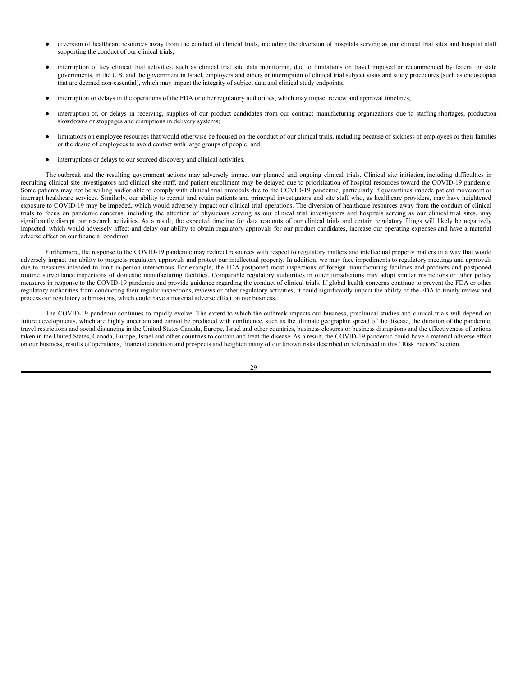- diversion of healthcare resources away from the conduct of clinical trials, including the diversion of hospitals serving as our clinical trial sites and hospital staff supporting the conduct of our clinical trials;
- interruption of key clinical trial activities, such as clinical trial site data monitoring, due to limitations on travel imposed or recommended by federal or state governments, in the U.S. and the government in Israel, employers and others or interruption of clinical trial subject visits and study procedures (such as endoscopies that are deemed non-essential), which may impact the integrity of subject data and clinical study endpoints;
- interruption or delays in the operations of the FDA or other regulatory authorities, which may impact review and approval timelines;
- interruption of, or delays in receiving, supplies of our product candidates from our contract manufacturing organizations due to staffing shortages, production slowdowns or stoppages and disruptions in delivery systems;
- limitations on employee resources that would otherwise be focused on the conduct of our clinical trials, including because of sickness of employees or their families or the desire of employees to avoid contact with large groups of people; and
- interruptions or delays to our sourced discovery and clinical activities.

The outbreak and the resulting government actions may adversely impact our planned and ongoing clinical trials. Clinical site initiation, including difficulties in recruiting clinical site investigators and clinical site staff, and patient enrollment may be delayed due to prioritization of hospital resources toward the COVID-19 pandemic. Some patients may not be willing and/or able to comply with clinical trial protocols due to the COVID-19 pandemic, particularly if quarantines impede patient movement or interrupt healthcare services. Similarly, our ability to recruit and retain patients and principal investigators and site staff who, as healthcare providers, may have heightened exposure to COVID-19 may be impeded, which would adversely impact our clinical trial operations. The diversion of healthcare resources away from the conduct of clinical trials to focus on pandemic concerns, including the attention of physicians serving as our clinical trial investigators and hospitals serving as our clinical trial sites, may significantly disrupt our research activities. As a result, the expected timeline for data readouts of our clinical trials and certain regulatory filings will likely be negatively impacted, which would adversely affect and delay our ability to obtain regulatory approvals for our product candidates, increase our operating expenses and have a material adverse effect on our financial condition.

Furthermore, the response to the COVID-19 pandemic may redirect resources with respect to regulatory matters and intellectual property matters in a way that would adversely impact our ability to progress regulatory approvals and protect our intellectual property. In addition, we may face impediments to regulatory meetings and approvals due to measures intended to limit in-person interactions. For example, the FDA postponed most inspections of foreign manufacturing facilities and products and postponed routine surveillance inspections of domestic manufacturing facilities. Comparable regulatory authorities in other jurisdictions may adopt similar restrictions or other policy measures in response to the COVID-19 pandemic and provide guidance regarding the conduct of clinical trials. If global health concerns continue to prevent the FDA or other regulatory authorities from conducting their regular inspections, reviews or other regulatory activities, it could significantly impact the ability of the FDA to timely review and process our regulatory submissions, which could have a material adverse effect on our business.

The COVID-19 pandemic continues to rapidly evolve. The extent to which the outbreak impacts our business, preclinical studies and clinical trials will depend on future developments, which are highly uncertain and cannot be predicted with confidence, such as the ultimate geographic spread of the disease, the duration of the pandemic, travel restrictions and social distancing in the United States Canada, Europe, Israel and other countries, business closures or business disruptions and the effectiveness of actions taken in the United States, Canada, Europe, Israel and other countries to contain and treat the disease. As a result, the COVID-19 pandemic could have a material adverse effect on our business, results of operations, financial condition and prospects and heighten many of our known risks described or referenced in this "Risk Factors" section.

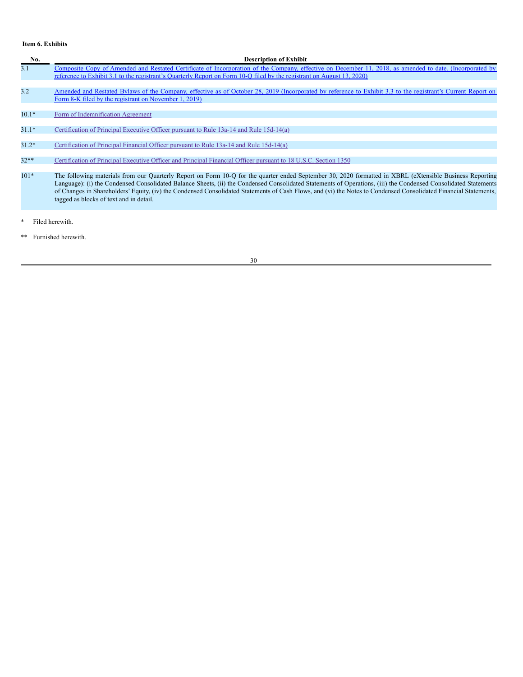# <span id="page-33-0"></span>**Item 6. Exhibits**

| No.     | <b>Description of Exhibit</b>                                                                                                                                                                                                                                                                                                                                                                                                                                                                                                              |
|---------|--------------------------------------------------------------------------------------------------------------------------------------------------------------------------------------------------------------------------------------------------------------------------------------------------------------------------------------------------------------------------------------------------------------------------------------------------------------------------------------------------------------------------------------------|
| 3.1     | Composite Copy of Amended and Restated Certificate of Incorporation of the Company, effective on December 11, 2018, as amended to date. (Incorporated by<br>reference to Exhibit 3.1 to the registrant's Quarterly Report on Form 10-Q filed by the registrant on August 13, 2020)                                                                                                                                                                                                                                                         |
|         |                                                                                                                                                                                                                                                                                                                                                                                                                                                                                                                                            |
| 3.2     | Amended and Restated Bylaws of the Company, effective as of October 28, 2019 (Incorporated by reference to Exhibit 3.3 to the registrant's Current Report on                                                                                                                                                                                                                                                                                                                                                                               |
|         | Form 8-K filed by the registrant on November 1, 2019)                                                                                                                                                                                                                                                                                                                                                                                                                                                                                      |
|         |                                                                                                                                                                                                                                                                                                                                                                                                                                                                                                                                            |
| $10.1*$ | Form of Indemnification Agreement                                                                                                                                                                                                                                                                                                                                                                                                                                                                                                          |
|         |                                                                                                                                                                                                                                                                                                                                                                                                                                                                                                                                            |
| $31.1*$ | Certification of Principal Executive Officer pursuant to Rule 13a-14 and Rule 15d-14(a)                                                                                                                                                                                                                                                                                                                                                                                                                                                    |
|         |                                                                                                                                                                                                                                                                                                                                                                                                                                                                                                                                            |
| $31.2*$ | Certification of Principal Financial Officer pursuant to Rule 13a-14 and Rule 15d-14(a)                                                                                                                                                                                                                                                                                                                                                                                                                                                    |
|         |                                                                                                                                                                                                                                                                                                                                                                                                                                                                                                                                            |
| $32**$  | Certification of Principal Executive Officer and Principal Financial Officer pursuant to 18 U.S.C. Section 1350                                                                                                                                                                                                                                                                                                                                                                                                                            |
|         |                                                                                                                                                                                                                                                                                                                                                                                                                                                                                                                                            |
| $101*$  | The following materials from our Quarterly Report on Form 10-Q for the quarter ended September 30, 2020 formatted in XBRL (eXtensible Business Reporting<br>Language): (i) the Condensed Consolidated Balance Sheets, (ii) the Condensed Consolidated Statements of Operations, (iii) the Condensed Consolidated Statements<br>of Changes in Shareholders' Equity, (iv) the Condensed Consolidated Statements of Cash Flows, and (vi) the Notes to Condensed Consolidated Financial Statements,<br>tagged as blocks of text and in detail. |
|         |                                                                                                                                                                                                                                                                                                                                                                                                                                                                                                                                            |

- \* Filed herewith.
- \*\* Furnished herewith.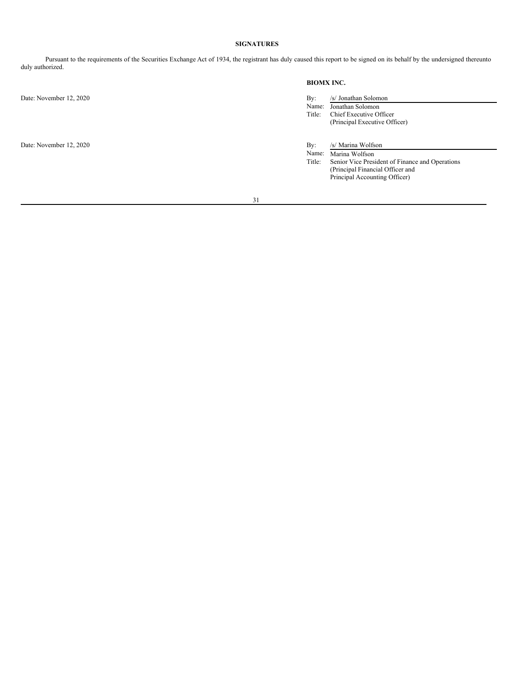# <span id="page-34-0"></span>**SIGNATURES**

Pursuant to the requirements of the Securities Exchange Act of 1934, the registrant has duly caused this report to be signed on its behalf by the undersigned thereunto duly authorized.

**BIOMX INC.**

Date: November 12, 2020 By: /s/ Jonathan Solomon Name: Jonathan Solomon<br>Title: Chief Executive Of Chief Executive Officer (Principal Executive Officer) Date: November 12, 2020 By: /s/ Marina Wolfson Name: Marina Wolfson Title: Senior Vice President of Finance and Operations (Principal Financial Officer and Principal Accounting Officer)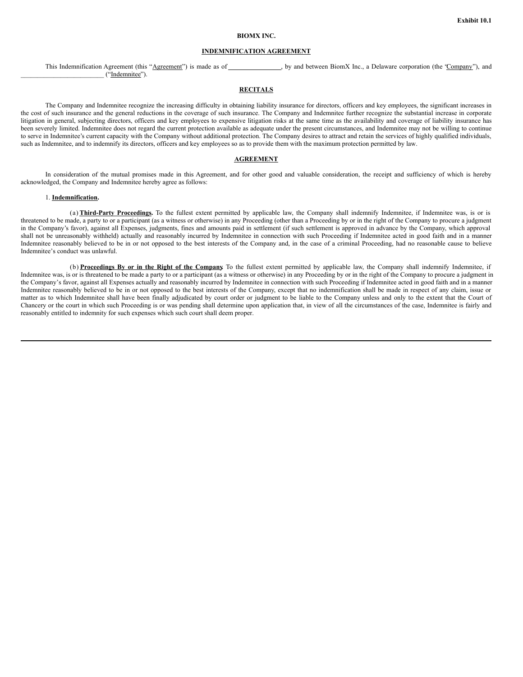### **BIOMX INC.**

### **INDEMNIFICATION AGREEMENT**

This Indemnification Agreement (this "Agreement") is made as of , by and between BiomX Inc., a Delaware corporation (the "Company"), and \_\_\_\_\_\_\_\_\_\_\_\_\_\_\_\_\_\_\_\_\_\_\_\_\_ ("Indemnitee").

### **RECITALS**

The Company and Indemnitee recognize the increasing difficulty in obtaining liability insurance for directors, officers and key employees, the significant increases in the cost of such insurance and the general reductions in the coverage of such insurance. The Company and Indemnitee further recognize the substantial increase in corporate litigation in general, subjecting directors, officers and key employees to expensive litigation risks at the same time as the availability and coverage of liability insurance has been severely limited. Indemnitee does not regard the current protection available as adequate under the present circumstances, and Indemnitee may not be willing to continue to serve in Indemnitee's current capacity with the Company without additional protection. The Company desires to attract and retain the services of highly qualified individuals, such as Indemnitee, and to indemnify its directors, officers and key employees so as to provide them with the maximum protection permitted by law.

### **AGREEMENT**

In consideration of the mutual promises made in this Agreement, and for other good and valuable consideration, the receipt and sufficiency of which is hereby acknowledged, the Company and Indemnitee hereby agree as follows:

#### 1. **Indemnification.**

(a) Third-Party Proceedings. To the fullest extent permitted by applicable law, the Company shall indemnity Indemnitee, if Indemnitee was, is or is threatened to be made, a party to or a participant (as a witness or otherwise) in any Proceeding (other than a Proceeding by or in the right of the Company to procure a judgment in the Company's favor), against all Expenses, judgments, fines and amounts paid in settlement (if such settlement is approved in advance by the Company, which approval shall not be unreasonably withheld) actually and reasonably incurred by Indemnitee in connection with such Proceeding if Indemnitee acted in good faith and in a manner Indemnitee reasonably believed to be in or not opposed to the best interests of the Company and, in the case of a criminal Proceeding, had no reasonable cause to believe Indemnitee's conduct was unlawful.

(b) **Proceedings By or in the Right of the Company.** To the fullest extent permitted by applicable law, the Company shall indemnify Indemnitee, if Indemnitee was, is or is threatened to be made a party to or a participant (as a witness or otherwise) in any Proceeding by or in the right of the Company to procure a judgment in the Company's favor, against all Expenses actually and reasonably incurred by Indemnitee in connection with such Proceeding if Indemnitee acted in good faith and in a manner Indemnitee reasonably believed to be in or not opposed to the best interests of the Company, except that no indemnification shall be made in respect of any claim, issue or matter as to which Indemnitee shall have been finally adjudicated by court order or judgment to be liable to the Company unless and only to the extent that the Court of Chancery or the court in which such Proceeding is or was pending shall determine upon application that, in view of all the circumstances of the case, Indemnitee is fairly and reasonably entitled to indemnity for such expenses which such court shall deem proper.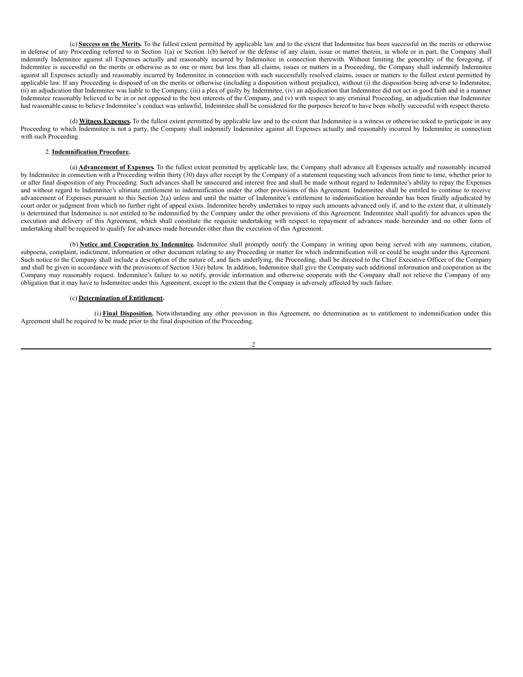(c) **Success on the Merits.** To the fullest extent permitted by applicable law and to the extent that Indemnitee has been successful on the merits or otherwise in defense of any Proceeding referred to in Section 1(a) or Section 1(b) hereof or the defense of any claim, issue or matter therein, in whole or in part, the Company shall indemnify Indemnitee against all Expenses actually and reasonably incurred by Indemnitee in connection therewith. Without limiting the generality of the foregoing, if Indemnitee is successful on the merits or otherwise as to one or more but less than all claims, issues or matters in a Proceeding, the Company shall indemnify Indemnitee against all Expenses actually and reasonably incurred by Indemnitee in connection with such successfully resolved claims, issues or matters to the fullest extent permitted by applicable law. If any Proceeding is disposed of on the merits or otherwise (including a disposition without prejudice), without (i) the disposition being adverse to Indemnitee, (ii) an adjudication that Indemnitee was liable to the Company, (iii) a plea of guilty by Indemnitee, (iv) an adjudication that Indemnitee did not act in good faith and in a manner Indemnitee reasonably believed to be in or not opposed to the best interests of the Company, and (v) with respect to any criminal Proceeding, an adjudication that Indemnitee had reasonable cause to believe Indemnitee's conduct was unlawful, Indemnitee shall be considered for the purposes hereof to have been wholly successful with respect thereto.

(d) **Witness Expenses.** To the fullest extent permitted by applicable law and to the extent that Indemnitee is a witness or otherwise asked to participate in any Proceeding to which Indemnitee is not a party, the Company shall indemnity Indemnitee against all Expenses actually and reasonably incurred by Indemnitee in connection with such Proceeding.

### 2. **Indemnification Procedure.**

(a) **Advancement of Expenses.** To the fullest extent permitted by applicable law, the Company shall advance all Expenses actually and reasonably incurred by Indemnitee in connection with a Proceeding within thirty (30) days after receipt by the Company of a statement requesting such advances from time to time, whether prior to or after final disposition of any Proceeding. Such advances shall be unsecured and interest free and shall be made without regard to Indemnitee's ability to repay the Expenses and without regard to Indemnitee's ultimate entitlement to indemnification under the other provisions of this Agreement. Indemnitee shall be entitled to continue to receive advancement of Expenses pursuant to this Section 2(a) unless and until the matter of Indemnitee's entitlement to indemnification hereunder has been finally adjudicated by court order or judgment from which no further right of appeal exists. Indemnitee hereby undertakes to repay such amounts advanced only if, and to the extent that, it ultimately is determined that Indemnitee is not entitled to be indemnified by the Company under the other provisions of this Agreement. Indemnitee shall qualify for advances upon the execution and delivery of this Agreement, which shall constitute the requisite undertaking with respect to repayment of advances made hereunder and no other form of undertaking shall be required to qualify for advances made hereunder other than the execution of this Agreement.

(b) **Notice and Cooperation by Indemnitee.** Indemnitee shall promptly notify the Company in writing upon being served with any summons, citation, subpoena, complaint, indictment, information or other document relating to any Proceeding or matter for which indemnification will or could be sought under this Agreement. Such notice to the Company shall include a description of the nature of, and facts underlying, the Proceeding, shall be directed to the Chief Executive Officer of the Company and shall be given in accordance with the provisions of Section 13(e) below. In addition, Indemnitee shall give the Company such additional information and cooperation as the Company may reasonably request. Indemnitee's failure to so notify, provide information and otherwise cooperate with the Company shall not relieve the Company of any obligation that it may have to Indemnitee under this Agreement, except to the extent that the Company is adversely affected by such failure.

### (c) **Determination of Entitlement.**

(i) **Final Disposition.** Notwithstanding any other provision in this Agreement, no determination as to entitlement to indemnification under this Agreement shall be required to be made prior to the final disposition of the Proceeding.

 $\mathfrak{D}$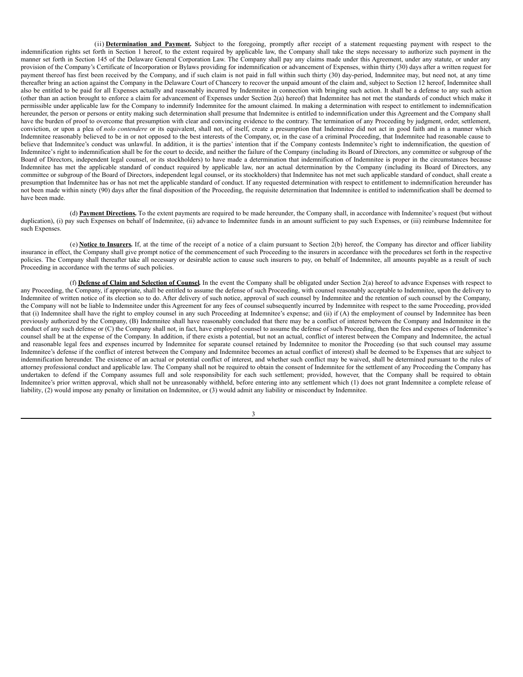(ii) **Determination and Payment.** Subject to the foregoing, promptly after receipt of a statement requesting payment with respect to the indemnification rights set forth in Section 1 hereof, to the extent required by applicable law, the Company shall take the steps necessary to authorize such payment in the manner set forth in Section 145 of the Delaware General Corporation Law. The Company shall pay any claims made under this Agreement, under any statute, or under any provision of the Company's Certificate of Incorporation or Bylaws providing for indemnification or advancement of Expenses, within thirty (30) days after a written request for payment thereof has first been received by the Company, and if such claim is not paid in full within such thirty (30) day-period, Indemnitee may, but need not, at any time thereafter bring an action against the Company in the Delaware Court of Chancery to recover the unpaid amount of the claim and, subject to Section 12 hereof, Indemnitee shall also be entitled to be paid for all Expenses actually and reasonably incurred by Indemnitee in connection with bringing such action. It shall be a defense to any such action (other than an action brought to enforce a claim for advancement of Expenses under Section 2(a) hereof) that Indemnitee has not met the standards of conduct which make it permissible under applicable law for the Company to indemnify Indemnitee for the amount claimed. In making a determination with respect to entitlement to indemnification hereunder, the person or persons or entity making such determination shall presume that Indemnitee is entitled to indemnification under this Agreement and the Company shall have the burden of proof to overcome that presumption with clear and convincing evidence to the contrary. The termination of any Proceeding by judgment, order, settlement, conviction, or upon a plea of *nolo contendere* or its equivalent, shall not, of itself, create a presumption that Indemnitee did not act in good faith and in a manner which Indemnitee reasonably believed to be in or not opposed to the best interests of the Company, or, in the case of a criminal Proceeding, that Indemnitee had reasonable cause to believe that Indemnitee's conduct was unlawful. In addition, it is the parties' intention that if the Company contests Indemnitee's right to indemnification, the question of Indemnitee's right to indemnification shall be for the court to decide, and neither the failure of the Company (including its Board of Directors, any committee or subgroup of the Board of Directors, independent legal counsel, or its stockholders) to have made a determination that indemnification of Indemnitee is proper in the circumstances because Indemnitee has met the applicable standard of conduct required by applicable law, nor an actual determination by the Company (including its Board of Directors, any committee or subgroup of the Board of Directors, independent legal counsel, or its stockholders) that Indemnitee has not met such applicable standard of conduct, shall create a presumption that Indemnitee has or has not met the applicable standard of conduct. If any requested determination with respect to entitlement to indemnification hereunder has not been made within ninety (90) days after the final disposition of the Proceeding, the requisite determination that Indemnitee is entitled to indemnification shall be deemed to have been made.

(d) **Payment Directions.** To the extent payments are required to be made hereunder, the Company shall, in accordance with Indemnitee's request (but without duplication), (i) pay such Expenses on behalf of Indemnitee, (ii) advance to Indemnitee funds in an amount sufficient to pay such Expenses, or (iii) reimburse Indemnitee for such Expenses.

(e) **Notice to Insurers.** If, at the time of the receipt of a notice of a claim pursuant to Section 2(b) hereof, the Company has director and officer liability insurance in effect, the Company shall give prompt notice of the commencement of such Proceeding to the insurers in accordance with the procedures set forth in the respective policies. The Company shall thereafter take all necessary or desirable action to cause such insurers to pay, on behalf of Indemnitee, all amounts payable as a result of such Proceeding in accordance with the terms of such policies.

(f) **Defense of Claim and Selection of Counsel.** In the event the Company shall be obligated under Section 2(a) hereof to advance Expenses with respect to any Proceeding, the Company, if appropriate, shall be entitled to assume the defense of such Proceeding, with counsel reasonably acceptable to Indemnitee, upon the delivery to Indemnitee of written notice of its election so to do. After delivery of such notice, approval of such counsel by Indemnitee and the retention of such counsel by the Company, the Company will not be liable to Indemnitee under this Agreement for any fees of counsel subsequently incurred by Indemnitee with respect to the same Proceeding, provided that (i) Indemnitee shall have the right to employ counsel in any such Proceeding at Indemnitee's expense; and (ii) if (A) the employment of counsel by Indemnitee has been previously authorized by the Company, (B) Indemnitee shall have reasonably concluded that there may be a conflict of interest between the Company and Indemnitee in the conduct of any such defense or (C) the Company shall not, in fact, have employed counsel to assume the defense of such Proceeding, then the fees and expenses of Indemnitee's counsel shall be at the expense of the Company. In addition, if there exists a potential, but not an actual, conflict of interest between the Company and Indemnitee, the actual and reasonable legal fees and expenses incurred by Indemnitee for separate counsel retained by Indemnitee to monitor the Proceeding (so that such counsel may assume Indemnitee's defense if the conflict of interest between the Company and Indemnitee becomes an actual conflict of interest) shall be deemed to be Expenses that are subject to indemnification hereunder. The existence of an actual or potential conflict of interest, and whether such conflict may be waived, shall be determined pursuant to the rules of attorney professional conduct and applicable law. The Company shall not be required to obtain the consent of Indemnitee for the settlement of any Proceeding the Company has undertaken to defend if the Company assumes full and sole responsibility for each such settlement; provided, however, that the Company shall be required to obtain Indemnitee's prior written approval, which shall not be unreasonably withheld, before entering into any settlement which (1) does not grant Indemnitee a complete release of liability, (2) would impose any penalty or limitation on Indemnitee, or (3) would admit any liability or misconduct by Indemnitee.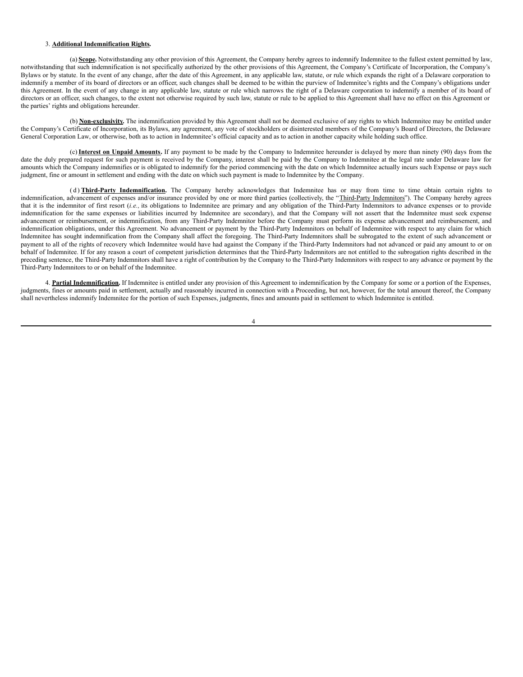### 3. **Additional Indemnification Rights.**

(a) **Scope.** Notwithstanding any other provision of this Agreement, the Company hereby agrees to indemnify Indemnitee to the fullest extent permitted by law, notwithstanding that such indemnification is not specifically authorized by the other provisions of this Agreement, the Company's Certificate of Incorporation, the Company's Bylaws or by statute. In the event of any change, after the date of this Agreement, in any applicable law, statute, or rule which expands the right of a Delaware corporation to indemnify a member of its board of directors or an officer, such changes shall be deemed to be within the purview of Indemnitee's rights and the Company's obligations under this Agreement. In the event of any change in any applicable law, statute or rule which narrows the right of a Delaware corporation to indemnify a member of its board of directors or an officer, such changes, to the extent not otherwise required by such law, statute or rule to be applied to this Agreement shall have no effect on this Agreement or the parties' rights and obligations hereunder.

(b) **Non-exclusivity.** The indemnification provided by this Agreement shall not be deemed exclusive of any rights to which Indemnitee may be entitled under the Company's Certificate of Incorporation, its Bylaws, any agreement, any vote of stockholders or disinterested members of the Company's Board of Directors, the Delaware General Corporation Law, or otherwise, both as to action in Indemnitee's official capacity and as to action in another capacity while holding such office.

(c) **Interest on Unpaid Amounts.** If any payment to be made by the Company to Indemnitee hereunder is delayed by more than ninety (90) days from the date the duly prepared request for such payment is received by the Company, interest shall be paid by the Company to Indemnitee at the legal rate under Delaware law for amounts which the Company indemnifies or is obligated to indemnify for the period commencing with the date on which Indemnitee actually incurs such Expense or pays such judgment, fine or amount in settlement and ending with the date on which such payment is made to Indemnitee by the Company.

( d ) **Third-Party Indemnification.** The Company hereby acknowledges that Indemnitee has or may from time to time obtain certain rights to indemnification, advancement of expenses and/or insurance provided by one or more third parties (collectively, the "Third-Party Indemnitors"). The Company hereby agrees that it is the indemnitor of first resort (*i.e.,* its obligations to Indemnitee are primary and any obligation of the Third-Party Indemnitors to advance expenses or to provide indemnification for the same expenses or liabilities incurred by Indemnitee are secondary), and that the Company will not assert that the Indemnitee must seek expense advancement or reimbursement, or indemnification, from any Third-Party Indemnitor before the Company must perform its expense advancement and reimbursement, and indemnification obligations, under this Agreement. No advancement or payment by the Third-Party Indemnitors on behalf of Indemnitee with respect to any claim for which Indemnitee has sought indemnification from the Company shall affect the foregoing. The Third-Party Indemnitors shall be subrogated to the extent of such advancement or payment to all of the rights of recovery which Indemnitee would have had against the Company if the Third-Party Indemnitors had not advanced or paid any amount to or on behalf of Indemnitee. If for any reason a court of competent jurisdiction determines that the Third-Party Indemnitors are not entitled to the subrogation rights described in the preceding sentence, the Third-Party Indemnitors shall have a right of contribution by the Company to the Third-Party Indemnitors with respect to any advance or payment by the Third-Party Indemnitors to or on behalf of the Indemnitee.

4. **Partial Indemnification.** If Indemnitee is entitled under any provision of this Agreement to indemnification by the Company for some or a portion of the Expenses, judgments, fines or amounts paid in settlement, actually and reasonably incurred in connection with a Proceeding, but not, however, for the total amount thereof, the Company shall nevertheless indemnify Indemnitee for the portion of such Expenses, judgments, fines and amounts paid in settlement to which Indemnitee is entitled.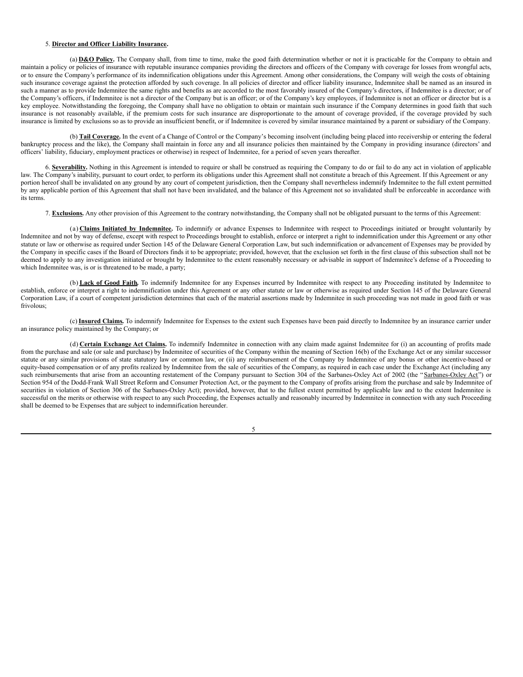#### 5. **Director and Officer Liability Insurance.**

(a) **D&O Policy.** The Company shall, from time to time, make the good faith determination whether or not it is practicable for the Company to obtain and maintain a policy or policies of insurance with reputable insurance companies providing the directors and officers of the Company with coverage for losses from wrongful acts, or to ensure the Company's performance of its indemnification obligations under this Agreement. Among other considerations, the Company will weigh the costs of obtaining such insurance coverage against the protection afforded by such coverage. In all policies of director and officer liability insurance, Indemnitee shall be named as an insured in such a manner as to provide Indemnitee the same rights and benefits as are accorded to the most favorably insured of the Company's directors, if Indemnitee is a director; or of the Company's officers, if Indemnitee is not a director of the Company but is an officer; or of the Company's key employees, if Indemnitee is not an officer or director but is a key employee. Notwithstanding the foregoing, the Company shall have no obligation to obtain or maintain such insurance if the Company determines in good faith that such insurance is not reasonably available, if the premium costs for such insurance are disproportionate to the amount of coverage provided, if the coverage provided by such insurance is limited by exclusions so as to provide an insufficient benefit, or if Indemnitee is covered by similar insurance maintained by a parent or subsidiary of the Company.

(b) **Tail Coverage.** In the event of a Change of Control or the Company's becoming insolvent (including being placed into receivership or entering the federal bankruptcy process and the like), the Company shall maintain in force any and all insurance policies then maintained by the Company in providing insurance (directors' and officers' liability, fiduciary, employment practices or otherwise) in respect of Indemnitee, for a period of seven years thereafter.

6. **Severability.** Nothing in this Agreement is intended to require or shall be construed as requiring the Company to do or fail to do any act in violation of applicable law. The Company's inability, pursuant to court order, to perform its obligations under this Agreement shall not constitute a breach of this Agreement. If this Agreement or any portion hereof shall be invalidated on any ground by any court of competent jurisdiction, then the Company shall nevertheless indemnify Indemnitee to the full extent permitted by any applicable portion of this Agreement that shall not have been invalidated, and the balance of this Agreement not so invalidated shall be enforceable in accordance with its terms.

7. **Exclusions.** Any other provision of this Agreement to the contrary notwithstanding, the Company shall not be obligated pursuant to the terms of this Agreement:

(a) **Claims Initiated by Indemnitee.** To indemnify or advance Expenses to Indemnitee with respect to Proceedings initiated or brought voluntarily by Indemnitee and not by way of defense, except with respect to Proceedings brought to establish, enforce or interpret a right to indemnification under this Agreement or any other statute or law or otherwise as required under Section 145 of the Delaware General Corporation Law, but such indemnification or advancement of Expenses may be provided by the Company in specific cases if the Board of Directors finds it to be appropriate; provided, however, that the exclusion set forth in the first clause of this subsection shall not be deemed to apply to any investigation initiated or brought by Indemnitee to the extent reasonably necessary or advisable in support of Indemnitee's defense of a Proceeding to which Indemnitee was, is or is threatened to be made, a party;

(b) **Lack of Good Faith.** To indemnify Indemnitee for any Expenses incurred by Indemnitee with respect to any Proceeding instituted by Indemnitee to establish, enforce or interpret a right to indemnification under this Agreement or any other statute or law or otherwise as required under Section 145 of the Delaware General Corporation Law, if a court of competent jurisdiction determines that each of the material assertions made by Indemnitee in such proceeding was not made in good faith or was frivolous;

(c) **Insured Claims.** To indemnify Indemnitee for Expenses to the extent such Expenses have been paid directly to Indemnitee by an insurance carrier under an insurance policy maintained by the Company; or

(d) **Certain Exchange Act Claims.** To indemnify Indemnitee in connection with any claim made against Indemnitee for (i) an accounting of profits made from the purchase and sale (or sale and purchase) by Indemnitee of securities of the Company within the meaning of Section 16(b) of the Exchange Act or any similar successor statute or any similar provisions of state statutory law or common law, or (ii) any reimbursement of the Company by Indemnitee of any bonus or other incentive-based or equity-based compensation or of any profits realized by Indemnitee from the sale of securities of the Company, as required in each case under the Exchange Act (including any such reimbursements that arise from an accounting restatement of the Company pursuant to Section 304 of the Sarbanes-Oxley Act of 2002 (the "Sarbanes-Oxley Act") or Section 954 of the Dodd-Frank Wall Street Reform and Consumer Protection Act, or the payment to the Company of profits arising from the purchase and sale by Indemnitee of securities in violation of Section 306 of the Sarbanes-Oxley Act); provided, however, that to the fullest extent permitted by applicable law and to the extent Indemnitee is successful on the merits or otherwise with respect to any such Proceeding, the Expenses actually and reasonably incurred by Indemnitee in connection with any such Proceeding shall be deemed to be Expenses that are subject to indemnification hereunder.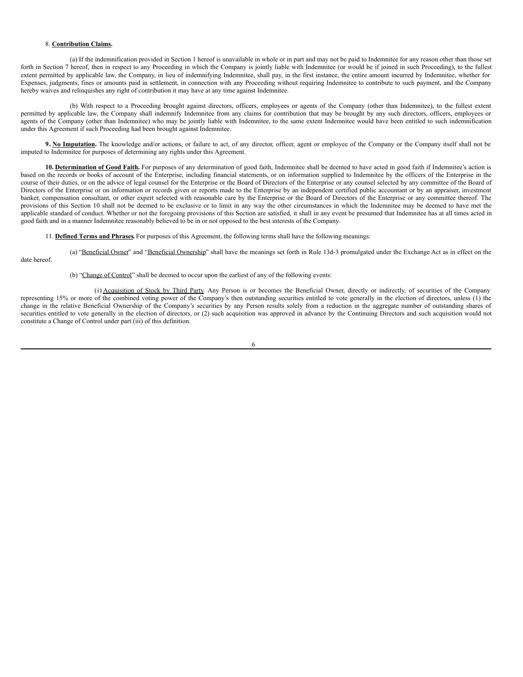#### <span id="page-40-0"></span>8. **Contribution Claims.**

(a) If the indemnification provided in Section 1 hereof is unavailable in whole or in part and may not be paid to Indemnitee for any reason other than those set forth in Section 7 hereof, then in respect to any Proceeding in which the Company is jointly liable with Indemnitee (or would be if joined in such Proceeding), to the fullest extent permitted by applicable law, the Company, in lieu of indemnifying Indemnitee, shall pay, in the first instance, the entire amount incurred by Indemnitee, whether for Expenses, judgments, fines or amounts paid in settlement, in connection with any Proceeding without requiring Indemnitee to contribute to such payment, and the Company hereby waives and relinquishes any right of contribution it may have at any time against Indemnitee.

(b) With respect to a Proceeding brought against directors, officers, employees or agents of the Company (other than Indemnitee), to the fullest extent permitted by applicable law, the Company shall indemnify Indemnitee from any claims for contribution that may be brought by any such directors, officers, employees or agents of the Company (other than Indemnitee) who may be jointly liable with Indemnitee, to the same extent Indemnitee would have been entitled to such indemnification under this Agreement if such Proceeding had been brought against Indemnitee.

**9. No Imputation.** The knowledge and/or actions, or failure to act, of any director, officer, agent or employee of the Company or the Company itself shall not be imputed to Indemnitee for purposes of determining any rights under this Agreement.

**10. Determination of Good Faith.** For purposes of any determination of good faith, Indemnitee shall be deemed to have acted in good faith if Indemnitee's action is based on the records or books of account of the Enterprise, including financial statements, or on information supplied to Indemnitee by the officers of the Enterprise in the course of their duties, or on the advice of legal counsel for the Enterprise or the Board of Directors of the Enterprise or any counsel selected by any committee of the Board of Directors of the Enterprise or on information or records given or reports made to the Enterprise by an independent certified public accountant or by an appraiser, investment banker, compensation consultant, or other expert selected with reasonable care by the Enterprise or the Board of Directors of the Enterprise or any committee thereof. The provisions of this Section 10 shall not be deemed to be exclusive or to limit in any way the other circumstances in which the Indemnitee may be deemed to have met the applicable standard of conduct. Whether or not the foregoing provisions of this Section are satisfied, it shall in any event be presumed that Indemnitee has at all times acted in good faith and in a manner Indemnitee reasonably believed to be in or not opposed to the best interests of the Company.

(a) "Beneficial Owner" and "Beneficial Ownership" shall have the meanings set forth in Rule 13d-3 promulgated under the Exchange Act as in effect on the

11. **Defined Terms and Phrases.** For purposes of this Agreement, the following terms shall have the following meanings:

date hereof.

(b) "Change of Control" shall be deemed to occur upon the earliest of any of the following events:

(i) Acquisition of Stock by Third Party. Any Person is or becomes the Beneficial Owner, directly or indirectly, of securities of the Company representing 15% or more of the combined voting power of the Company's then outstanding securities entitled to vote generally in the election of directors, unless (1) the change in the relative Beneficial Ownership of the Company's securities by any Person results solely from a reduction in the aggregate number of outstanding shares of securities entitled to vote generally in the election of directors, or (2) such acquisition was approved in advance by the Continuing Directors and such acquisition would not constitute a Change of Control under part (iii) of this definition.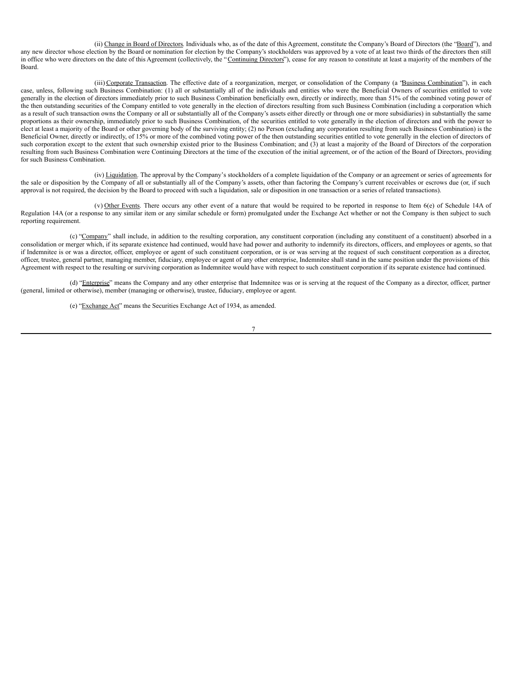(ii) Change in Board of Directors. Individuals who, as of the date of this Agreement, constitute the Company's Board of Directors (the "Board"), and any new director whose election by the Board or nomination for election by the Company's stockholders was approved by a vote of at least two thirds of the directors then still in office who were directors on the date of this Agreement (collectively, the "Continuing Directors"), cease for any reason to constitute at least a majority of the members of the Board.

(iii) Corporate Transaction. The effective date of a reorganization, merger, or consolidation of the Company (a "Business Combination"), in each case, unless, following such Business Combination: (1) all or substantially all of the individuals and entities who were the Beneficial Owners of securities entitled to vote generally in the election of directors immediately prior to such Business Combination beneficially own, directly or indirectly, more than 51% of the combined voting power of the then outstanding securities of the Company entitled to vote generally in the election of directors resulting from such Business Combination (including a corporation which as a result of such transaction owns the Company or all or substantially all of the Company's assets either directly or through one or more subsidiaries) in substantially the same proportions as their ownership, immediately prior to such Business Combination, of the securities entitled to vote generally in the election of directors and with the power to elect at least a majority of the Board or other governing body of the surviving entity; (2) no Person (excluding any corporation resulting from such Business Combination) is the Beneficial Owner, directly or indirectly, of 15% or more of the combined voting power of the then outstanding securities entitled to vote generally in the election of directors of such corporation except to the extent that such ownership existed prior to the Business Combination; and (3) at least a majority of the Board of Directors of the corporation resulting from such Business Combination were Continuing Directors at the time of the execution of the initial agreement, or of the action of the Board of Directors, providing for such Business Combination.

(iv) Liquidation. The approval by the Company's stockholders of a complete liquidation of the Company or an agreement or series of agreements for the sale or disposition by the Company of all or substantially all of the Company's assets, other than factoring the Company's current receivables or escrows due (or, if such approval is not required, the decision by the Board to proceed with such a liquidation, sale or disposition in one transaction or a series of related transactions).

(v) Other Events. There occurs any other event of a nature that would be required to be reported in response to Item 6(e) of Schedule 14A of Regulation 14A (or a response to any similar item or any similar schedule or form) promulgated under the Exchange Act whether or not the Company is then subject to such reporting requirement.

(c) "Company" shall include, in addition to the resulting corporation, any constituent corporation (including any constituent of a constituent) absorbed in a consolidation or merger which, if its separate existence had continued, would have had power and authority to indemnify its directors, officers, and employees or agents, so that if Indemnitee is or was a director, officer, employee or agent of such constituent corporation, or is or was serving at the request of such constituent corporation as a director, officer, trustee, general partner, managing member, fiduciary, employee or agent of any other enterprise, Indemnitee shall stand in the same position under the provisions of this Agreement with respect to the resulting or surviving corporation as Indemnitee would have with respect to such constituent corporation if its separate existence had continued.

(d) "Enterprise" means the Company and any other enterprise that Indemnitee was or is serving at the request of the Company as a director, officer, partner (general, limited or otherwise), member (managing or otherwise), trustee, fiduciary, employee or agent.

(e) "Exchange Act" means the Securities Exchange Act of 1934, as amended.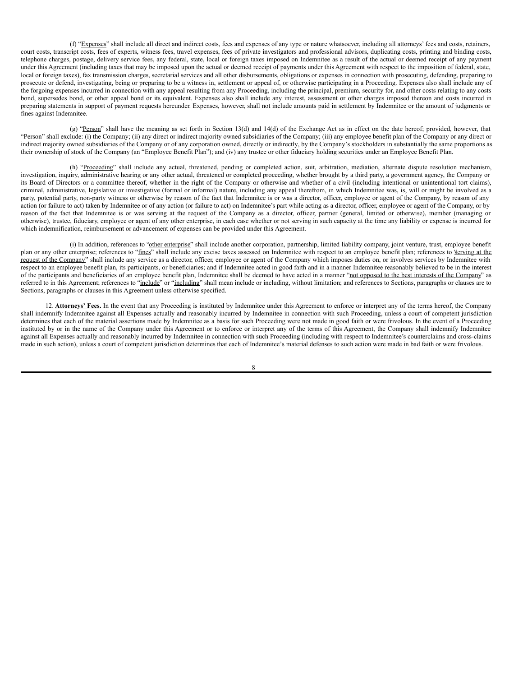(f) "Expenses" shall include all direct and indirect costs, fees and expenses of any type or nature whatsoever, including all attorneys' fees and costs, retainers, court costs, transcript costs, fees of experts, witness fees, travel expenses, fees of private investigators and professional advisors, duplicating costs, printing and binding costs, telephone charges, postage, delivery service fees, any federal, state, local or foreign taxes imposed on Indemnitee as a result of the actual or deemed receipt of any payment under this Agreement (including taxes that may be imposed upon the actual or deemed receipt of payments under this Agreement with respect to the imposition of federal, state, local or foreign taxes), fax transmission charges, secretarial services and all other disbursements, obligations or expenses in connection with prosecuting, defending, preparing to prosecute or defend, investigating, being or preparing to be a witness in, settlement or appeal of, or otherwise participating in a Proceeding. Expenses also shall include any of the forgoing expenses incurred in connection with any appeal resulting from any Proceeding, including the principal, premium, security for, and other costs relating to any costs bond, supersedes bond, or other appeal bond or its equivalent. Expenses also shall include any interest, assessment or other charges imposed thereon and costs incurred in preparing statements in support of payment requests hereunder. Expenses, however, shall not include amounts paid in settlement by Indemnitee or the amount of judgments or fines against Indemnitee.

(g) "Person" shall have the meaning as set forth in Section 13(d) and 14(d) of the Exchange Act as in effect on the date hereof; provided, however, that "Person" shall exclude: (i) the Company; (ii) any direct or indirect majority owned subsidiaries of the Company; (iii) any employee benefit plan of the Company or any direct or indirect majority owned subsidiaries of the Company or of any corporation owned, directly or indirectly, by the Company's stockholders in substantially the same proportions as their ownership of stock of the Company (an "Employee Benefit Plan"); and (iv) any trustee or other fiduciary holding securities under an Employee Benefit Plan.

(h) "Proceeding" shall include any actual, threatened, pending or completed action, suit, arbitration, mediation, alternate dispute resolution mechanism, investigation, inquiry, administrative hearing or any other actual, threatened or completed proceeding, whether brought by a third party, a government agency, the Company or its Board of Directors or a committee thereof, whether in the right of the Company or otherwise and whether of a civil (including intentional or unintentional tort claims), criminal, administrative, legislative or investigative (formal or informal) nature, including any appeal therefrom, in which Indemnitee was, is, will or might be involved as a party, potential party, non-party witness or otherwise by reason of the fact that Indemnitee is or was a director, officer, employee or agent of the Company, by reason of any action (or failure to act) taken by Indemnitee or of any action (or failure to act) on Indemnitee's part while acting as a director, officer, employee or agent of the Company, or by reason of the fact that Indemnitee is or was serving at the request of the Company as a director, officer, partner (general, limited or otherwise), member (managing or otherwise), trustee, fiduciary, employee or agent of any other enterprise, in each case whether or not serving in such capacity at the time any liability or expense is incurred for which indemnification, reimbursement or advancement of expenses can be provided under this Agreement.

(i) In addition, references to "other enterprise" shall include another corporation, partnership, limited liability company, joint venture, trust, employee benefit plan or any other enterprise; references to "fines" shall include any excise taxes assessed on Indemnitee with respect to an employee benefit plan; references to *serving at the* request of the Company" shall include any service as a director, officer, employee or agent of the Company which imposes duties on, or involves services by Indemnitee with respect to an employee benefit plan, its participants, or beneficiaries; and if Indemnitee acted in good faith and in a manner Indemnitee reasonably believed to be in the interest of the participants and beneficiaries of an employee benefit plan, Indemnitee shall be deemed to have acted in a manner "not opposed to the best interests of the Company" as referred to in this Agreement; references to "include" or "including" shall mean include or including, without limitation; and references to Sections, paragraphs or clauses are to Sections, paragraphs or clauses in this Agreement unless otherwise specified.

12. **Attorneys' Fees.** In the event that any Proceeding is instituted by Indemnitee under this Agreement to enforce or interpret any of the terms hereof, the Company shall indemnify Indemnitee against all Expenses actually and reasonably incurred by Indemnitee in connection with such Proceeding, unless a court of competent jurisdiction determines that each of the material assertions made by Indemnitee as a basis for such Proceeding were not made in good faith or were frivolous. In the event of a Proceeding instituted by or in the name of the Company under this Agreement or to enforce or interpret any of the terms of this Agreement, the Company shall indemnify Indemnitee against all Expenses actually and reasonably incurred by Indemnitee in connection with such Proceeding (including with respect to Indemnitee's counterclaims and cross-claims made in such action), unless a court of competent jurisdiction determines that each of Indemnitee's material defenses to such action were made in bad faith or were frivolous.

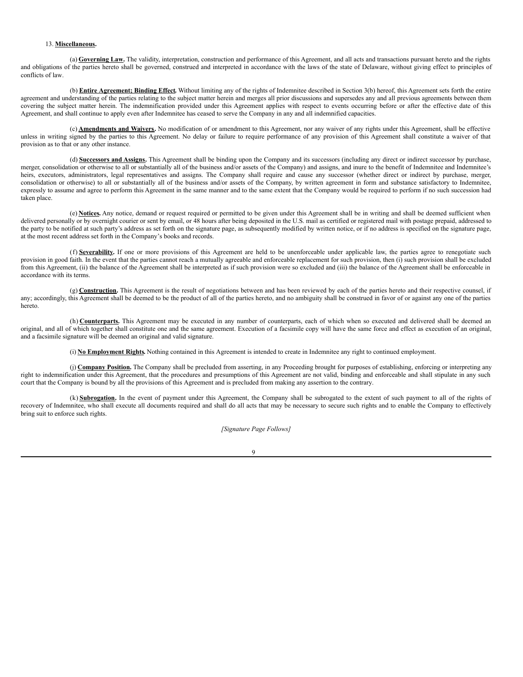#### 13. **Miscellaneous.**

(a) **Governing Law.** The validity, interpretation, construction and performance of this Agreement, and all acts and transactions pursuant hereto and the rights and obligations of the parties hereto shall be governed, construed and interpreted in accordance with the laws of the state of Delaware, without giving effect to principles of conflicts of law.

(b) **Entire Agreement; Binding Effect.** Without limiting any of the rights of Indemnitee described in Section 3(b) hereof, this Agreement sets forth the entire agreement and understanding of the parties relating to the subject matter herein and merges all prior discussions and supersedes any and all previous agreements between them covering the subject matter herein. The indemnification provided under this Agreement applies with respect to events occurring before or after the effective date of this Agreement, and shall continue to apply even after Indemnitee has ceased to serve the Company in any and all indemnified capacities.

(c) **Amendments and Waivers.** No modification of or amendment to this Agreement, nor any waiver of any rights under this Agreement, shall be effective unless in writing signed by the parties to this Agreement. No delay or failure to require performance of any provision of this Agreement shall constitute a waiver of that provision as to that or any other instance.

(d) **Successors and Assigns.** This Agreement shall be binding upon the Company and its successors (including any direct or indirect successor by purchase, merger, consolidation or otherwise to all or substantially all of the business and/or assets of the Company) and assigns, and inure to the benefit of Indemnitee and Indemnitee's heirs, executors, administrators, legal representatives and assigns. The Company shall require and cause any successor (whether direct or indirect by purchase, merger, consolidation or otherwise) to all or substantially all of the business and/or assets of the Company, by written agreement in form and substance satisfactory to Indemnitee, expressly to assume and agree to perform this Agreement in the same manner and to the same extent that the Company would be required to perform if no such succession had taken place.

(e) **Notices.** Any notice, demand or request required or permitted to be given under this Agreement shall be in writing and shall be deemed sufficient when delivered personally or by overnight courier or sent by email, or 48 hours after being deposited in the U.S. mail as certified or registered mail with postage prepaid, addressed to the party to be notified at such party's address as set forth on the signature page, as subsequently modified by written notice, or if no address is specified on the signature page, at the most recent address set forth in the Company's books and records.

(f) **Severability.** If one or more provisions of this Agreement are held to be unenforceable under applicable law, the parties agree to renegotiate such provision in good faith. In the event that the parties cannot reach a mutually agreeable and enforceable replacement for such provision, then (i) such provision shall be excluded from this Agreement, (ii) the balance of the Agreement shall be interpreted as if such provision were so excluded and (iii) the balance of the Agreement shall be enforceable in accordance with its terms.

(g) **Construction**. This Agreement is the result of negotiations between and has been reviewed by each of the parties hereto and their respective counsel, if any; accordingly, this Agreement shall be deemed to be the product of all of the parties hereto, and no ambiguity shall be construed in favor of or against any one of the parties hereto.

(h) **Counterparts.** This Agreement may be executed in any number of counterparts, each of which when so executed and delivered shall be deemed an original, and all of which together shall constitute one and the same agreement. Execution of a facsimile copy will have the same force and effect as execution of an original, and a facsimile signature will be deemed an original and valid signature.

(i) **No Employment Rights.** Nothing contained in this Agreement is intended to create in Indemnitee any right to continued employment.

(j) Company Position. The Company shall be precluded from asserting, in any Proceeding brought for purposes of establishing, enforcing or interpreting any right to indemnification under this Agreement, that the procedures and presumptions of this Agreement are not valid, binding and enforceable and shall stipulate in any such court that the Company is bound by all the provisions of this Agreement and is precluded from making any assertion to the contrary.

(k) **Subrogation.** In the event of payment under this Agreement, the Company shall be subrogated to the extent of such payment to all of the rights of recovery of Indemnitee, who shall execute all documents required and shall do all acts that may be necessary to secure such rights and to enable the Company to effectively bring suit to enforce such rights.

*[Signature Page Follows]*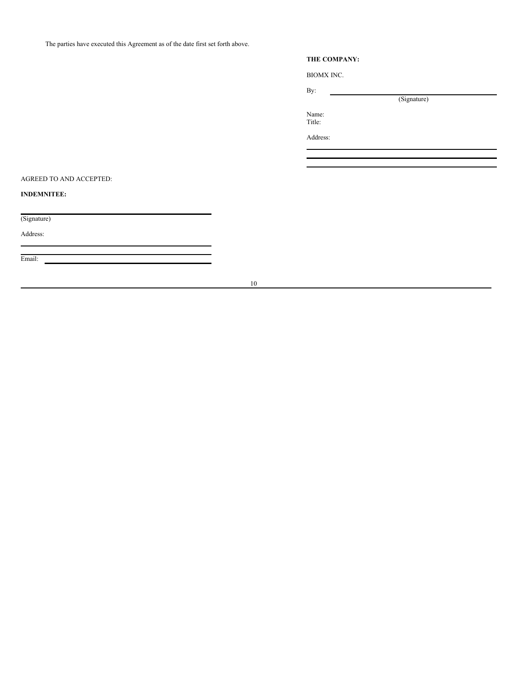The parties have executed this Agreement as of the date first set forth above.

# **THE COMPANY:**

(Signature)

BIOMX INC.

By:

Name: Title:

Address:

AGREED TO AND ACCEPTED:

**INDEMNITEE:**

(Signature)

Address:

Email: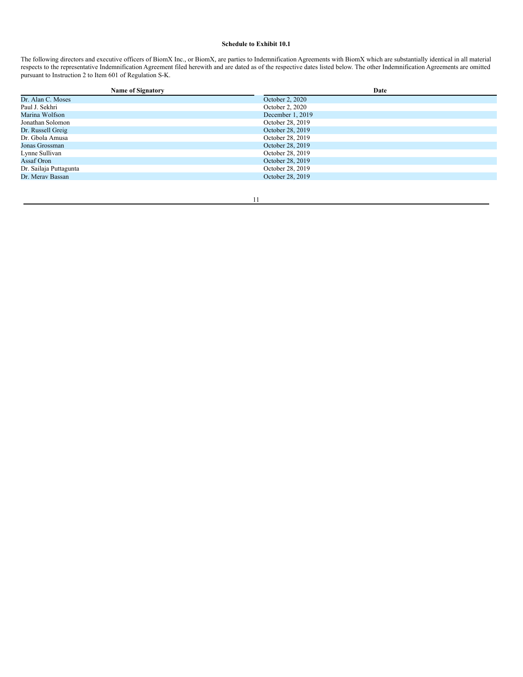# **Schedule to Exhibit 10.1**

The following directors and executive officers of BiomX Inc., or BiomX, are parties to Indemnification Agreements with BiomX which are substantially identical in all material respects to the representative Indemnification Agreement filed herewith and are dated as of the respective dates listed below. The other Indemnification Agreements are omitted pursuant to Instruction 2 to Item 601 of Regulation S-K.

| <b>Name of Signatory</b> | Date             |
|--------------------------|------------------|
| Dr. Alan C. Moses        | October 2, 2020  |
| Paul J. Sekhri           | October 2, 2020  |
| Marina Wolfson           | December 1, 2019 |
| Jonathan Solomon         | October 28, 2019 |
| Dr. Russell Greig        | October 28, 2019 |
| Dr. Gbola Amusa          | October 28, 2019 |
| Jonas Grossman           | October 28, 2019 |
| Lynne Sullivan           | October 28, 2019 |
| Assaf Oron               | October 28, 2019 |
| Dr. Sailaja Puttagunta   | October 28, 2019 |
| Dr. Merav Bassan         | October 28, 2019 |
|                          |                  |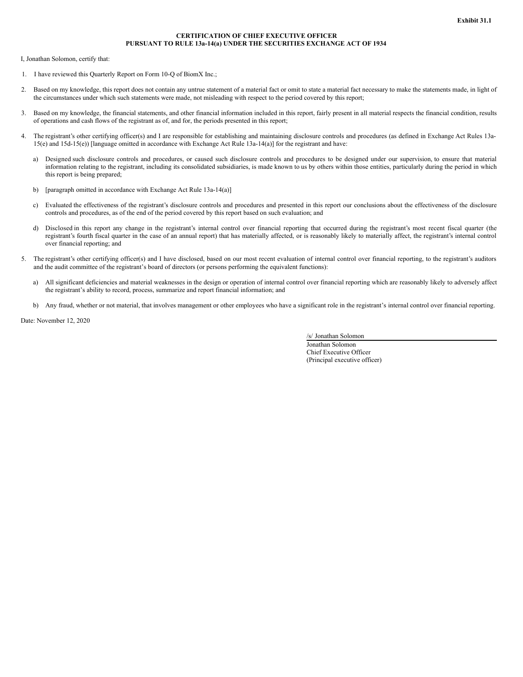### **CERTIFICATION OF CHIEF EXECUTIVE OFFICER PURSUANT TO RULE 13a-14(a) UNDER THE SECURITIES EXCHANGE ACT OF 1934**

<span id="page-46-0"></span>I, Jonathan Solomon, certify that:

- 1. I have reviewed this Quarterly Report on Form 10-Q of BiomX Inc.;
- 2. Based on my knowledge, this report does not contain any untrue statement of a material fact or omit to state a material fact necessary to make the statements made, in light of the circumstances under which such statements were made, not misleading with respect to the period covered by this report;
- 3. Based on my knowledge, the financial statements, and other financial information included in this report, fairly present in all material respects the financial condition, results of operations and cash flows of the registrant as of, and for, the periods presented in this report;
- 4. The registrant's other certifying officer(s) and I are responsible for establishing and maintaining disclosure controls and procedures (as defined in Exchange Act Rules 13a-15(e) and 15d-15(e)) [language omitted in accordance with Exchange Act Rule 13a-14(a)] for the registrant and have:
	- a) Designed such disclosure controls and procedures, or caused such disclosure controls and procedures to be designed under our supervision, to ensure that material information relating to the registrant, including its consolidated subsidiaries, is made known to us by others within those entities, particularly during the period in which this report is being prepared;
	- b) [paragraph omitted in accordance with Exchange Act Rule 13a-14(a)]
	- c) Evaluated the effectiveness of the registrant's disclosure controls and procedures and presented in this report our conclusions about the effectiveness of the disclosure controls and procedures, as of the end of the period covered by this report based on such evaluation; and
	- d) Disclosed in this report any change in the registrant's internal control over financial reporting that occurred during the registrant's most recent fiscal quarter (the registrant's fourth fiscal quarter in the case of an annual report) that has materially affected, or is reasonably likely to materially affect, the registrant's internal control over financial reporting; and
- 5. The registrant's other certifying officer(s) and I have disclosed, based on our most recent evaluation of internal control over financial reporting, to the registrant's auditors and the audit committee of the registrant's board of directors (or persons performing the equivalent functions):
	- a) All significant deficiencies and material weaknesses in the design or operation of internal control over financial reporting which are reasonably likely to adversely affect the registrant's ability to record, process, summarize and report financial information; and
	- b) Any fraud, whether or not material, that involves management or other employees who have a significant role in the registrant's internal control over financial reporting.

Date: November 12, 2020

/s/ Jonathan Solomon

Jonathan Solomon Chief Executive Officer (Principal executive officer)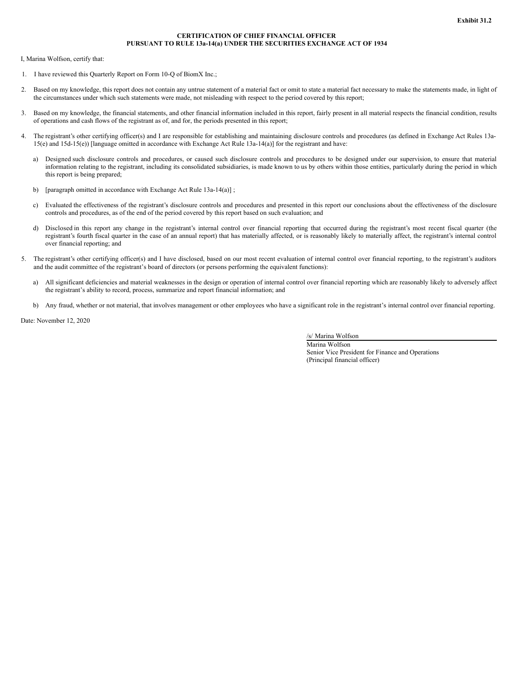### **CERTIFICATION OF CHIEF FINANCIAL OFFICER PURSUANT TO RULE 13a-14(a) UNDER THE SECURITIES EXCHANGE ACT OF 1934**

<span id="page-47-0"></span>I, Marina Wolfson, certify that:

- 1. I have reviewed this Quarterly Report on Form 10-Q of BiomX Inc.;
- 2. Based on my knowledge, this report does not contain any untrue statement of a material fact or omit to state a material fact necessary to make the statements made, in light of the circumstances under which such statements were made, not misleading with respect to the period covered by this report;
- 3. Based on my knowledge, the financial statements, and other financial information included in this report, fairly present in all material respects the financial condition, results of operations and cash flows of the registrant as of, and for, the periods presented in this report;
- 4. The registrant's other certifying officer(s) and I are responsible for establishing and maintaining disclosure controls and procedures (as defined in Exchange Act Rules 13a-15(e) and 15d-15(e)) [language omitted in accordance with Exchange Act Rule 13a-14(a)] for the registrant and have:
	- a) Designed such disclosure controls and procedures, or caused such disclosure controls and procedures to be designed under our supervision, to ensure that material information relating to the registrant, including its consolidated subsidiaries, is made known to us by others within those entities, particularly during the period in which this report is being prepared;
	- b) [paragraph omitted in accordance with Exchange Act Rule 13a-14(a)];
	- c) Evaluated the effectiveness of the registrant's disclosure controls and procedures and presented in this report our conclusions about the effectiveness of the disclosure controls and procedures, as of the end of the period covered by this report based on such evaluation; and
	- d) Disclosed in this report any change in the registrant's internal control over financial reporting that occurred during the registrant's most recent fiscal quarter (the registrant's fourth fiscal quarter in the case of an annual report) that has materially affected, or is reasonably likely to materially affect, the registrant's internal control over financial reporting; and
- 5. The registrant's other certifying officer(s) and I have disclosed, based on our most recent evaluation of internal control over financial reporting, to the registrant's auditors and the audit committee of the registrant's board of directors (or persons performing the equivalent functions):
	- a) All significant deficiencies and material weaknesses in the design or operation of internal control over financial reporting which are reasonably likely to adversely affect the registrant's ability to record, process, summarize and report financial information; and
	- b) Any fraud, whether or not material, that involves management or other employees who have a significant role in the registrant's internal control over financial reporting.

Date: November 12, 2020

/s/ Marina Wolfson

Marina Wolfson Senior Vice President for Finance and Operations (Principal financial officer)